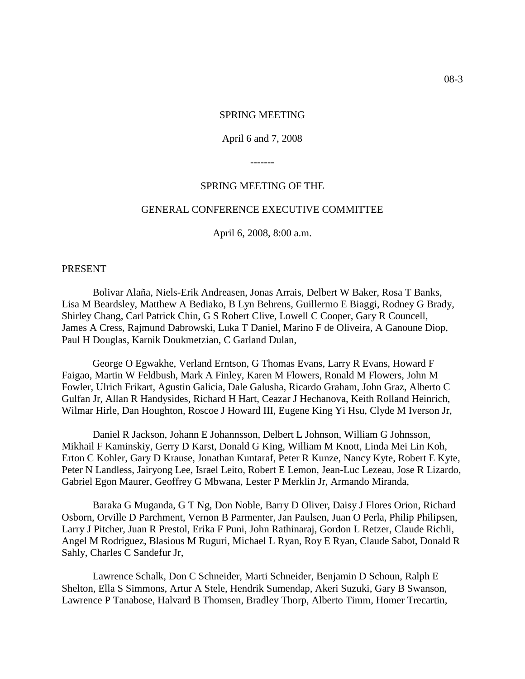#### SPRING MEETING

#### April 6 and 7, 2008

-------

#### SPRING MEETING OF THE

#### GENERAL CONFERENCE EXECUTIVE COMMITTEE

April 6, 2008, 8:00 a.m.

#### PRESENT

Bolivar Alaña, Niels-Erik Andreasen, Jonas Arrais, Delbert W Baker, Rosa T Banks, Lisa M Beardsley, Matthew A Bediako, B Lyn Behrens, Guillermo E Biaggi, Rodney G Brady, Shirley Chang, Carl Patrick Chin, G S Robert Clive, Lowell C Cooper, Gary R Councell, James A Cress, Rajmund Dabrowski, Luka T Daniel, Marino F de Oliveira, A Ganoune Diop, Paul H Douglas, Karnik Doukmetzian, C Garland Dulan,

George O Egwakhe, Verland Erntson, G Thomas Evans, Larry R Evans, Howard F Faigao, Martin W Feldbush, Mark A Finley, Karen M Flowers, Ronald M Flowers, John M Fowler, Ulrich Frikart, Agustin Galicia, Dale Galusha, Ricardo Graham, John Graz, Alberto C Gulfan Jr, Allan R Handysides, Richard H Hart, Ceazar J Hechanova, Keith Rolland Heinrich, Wilmar Hirle, Dan Houghton, Roscoe J Howard III, Eugene King Yi Hsu, Clyde M Iverson Jr,

Daniel R Jackson, Johann E Johannsson, Delbert L Johnson, William G Johnsson, Mikhail F Kaminskiy, Gerry D Karst, Donald G King, William M Knott, Linda Mei Lin Koh, Erton C Kohler, Gary D Krause, Jonathan Kuntaraf, Peter R Kunze, Nancy Kyte, Robert E Kyte, Peter N Landless, Jairyong Lee, Israel Leito, Robert E Lemon, Jean-Luc Lezeau, Jose R Lizardo, Gabriel Egon Maurer, Geoffrey G Mbwana, Lester P Merklin Jr, Armando Miranda,

Baraka G Muganda, G T Ng, Don Noble, Barry D Oliver, Daisy J Flores Orion, Richard Osborn, Orville D Parchment, Vernon B Parmenter, Jan Paulsen, Juan O Perla, Philip Philipsen, Larry J Pitcher, Juan R Prestol, Erika F Puni, John Rathinaraj, Gordon L Retzer, Claude Richli, Angel M Rodriguez, Blasious M Ruguri, Michael L Ryan, Roy E Ryan, Claude Sabot, Donald R Sahly, Charles C Sandefur Jr,

Lawrence Schalk, Don C Schneider, Marti Schneider, Benjamin D Schoun, Ralph E Shelton, Ella S Simmons, Artur A Stele, Hendrik Sumendap, Akeri Suzuki, Gary B Swanson, Lawrence P Tanabose, Halvard B Thomsen, Bradley Thorp, Alberto Timm, Homer Trecartin,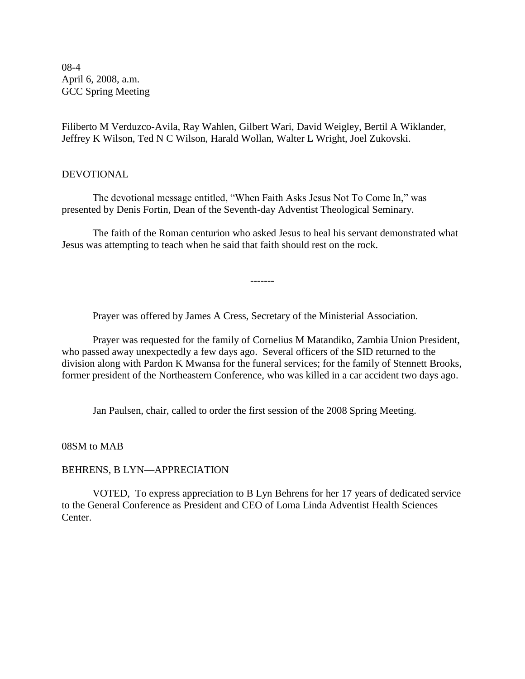08-4 April 6, 2008, a.m. GCC Spring Meeting

Filiberto M Verduzco-Avila, Ray Wahlen, Gilbert Wari, David Weigley, Bertil A Wiklander, Jeffrey K Wilson, Ted N C Wilson, Harald Wollan, Walter L Wright, Joel Zukovski.

#### DEVOTIONAL

The devotional message entitled, "When Faith Asks Jesus Not To Come In," was presented by Denis Fortin, Dean of the Seventh-day Adventist Theological Seminary.

The faith of the Roman centurion who asked Jesus to heal his servant demonstrated what Jesus was attempting to teach when he said that faith should rest on the rock.

-------

Prayer was offered by James A Cress, Secretary of the Ministerial Association.

Prayer was requested for the family of Cornelius M Matandiko, Zambia Union President, who passed away unexpectedly a few days ago. Several officers of the SID returned to the division along with Pardon K Mwansa for the funeral services; for the family of Stennett Brooks, former president of the Northeastern Conference, who was killed in a car accident two days ago.

Jan Paulsen, chair, called to order the first session of the 2008 Spring Meeting.

08SM to MAB

#### BEHRENS, B LYN—APPRECIATION

VOTED, To express appreciation to B Lyn Behrens for her 17 years of dedicated service to the General Conference as President and CEO of Loma Linda Adventist Health Sciences Center.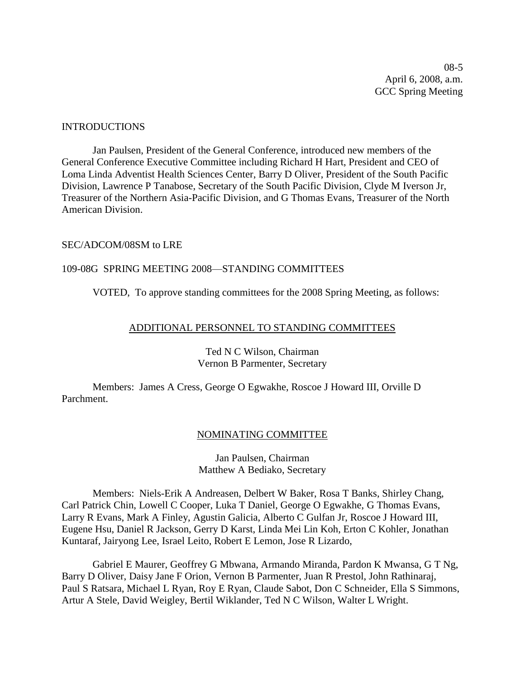08-5 April 6, 2008, a.m. GCC Spring Meeting

#### INTRODUCTIONS

Jan Paulsen, President of the General Conference, introduced new members of the General Conference Executive Committee including Richard H Hart, President and CEO of Loma Linda Adventist Health Sciences Center, Barry D Oliver, President of the South Pacific Division, Lawrence P Tanabose, Secretary of the South Pacific Division, Clyde M Iverson Jr, Treasurer of the Northern Asia-Pacific Division, and G Thomas Evans, Treasurer of the North American Division.

#### SEC/ADCOM/08SM to LRE

#### 109-08G SPRING MEETING 2008—STANDING COMMITTEES

VOTED, To approve standing committees for the 2008 Spring Meeting, as follows:

#### ADDITIONAL PERSONNEL TO STANDING COMMITTEES

#### Ted N C Wilson, Chairman Vernon B Parmenter, Secretary

Members: James A Cress, George O Egwakhe, Roscoe J Howard III, Orville D Parchment.

#### NOMINATING COMMITTEE

#### Jan Paulsen, Chairman Matthew A Bediako, Secretary

Members: Niels-Erik A Andreasen, Delbert W Baker, Rosa T Banks, Shirley Chang, Carl Patrick Chin, Lowell C Cooper, Luka T Daniel, George O Egwakhe, G Thomas Evans, Larry R Evans, Mark A Finley, Agustin Galicia, Alberto C Gulfan Jr, Roscoe J Howard III, Eugene Hsu, Daniel R Jackson, Gerry D Karst, Linda Mei Lin Koh, Erton C Kohler, Jonathan Kuntaraf, Jairyong Lee, Israel Leito, Robert E Lemon, Jose R Lizardo,

Gabriel E Maurer, Geoffrey G Mbwana, Armando Miranda, Pardon K Mwansa, G T Ng, Barry D Oliver, Daisy Jane F Orion, Vernon B Parmenter, Juan R Prestol, John Rathinaraj, Paul S Ratsara, Michael L Ryan, Roy E Ryan, Claude Sabot, Don C Schneider, Ella S Simmons, Artur A Stele, David Weigley, Bertil Wiklander, Ted N C Wilson, Walter L Wright.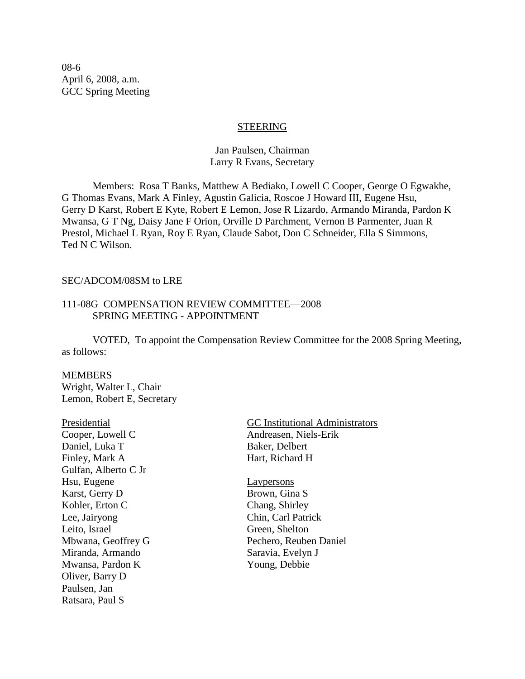08-6 April 6, 2008, a.m. GCC Spring Meeting

#### STEERING

#### Jan Paulsen, Chairman Larry R Evans, Secretary

Members: Rosa T Banks, Matthew A Bediako, Lowell C Cooper, George O Egwakhe, G Thomas Evans, Mark A Finley, Agustin Galicia, Roscoe J Howard III, Eugene Hsu, Gerry D Karst, Robert E Kyte, Robert E Lemon, Jose R Lizardo, Armando Miranda, Pardon K Mwansa, G T Ng, Daisy Jane F Orion, Orville D Parchment, Vernon B Parmenter, Juan R Prestol, Michael L Ryan, Roy E Ryan, Claude Sabot, Don C Schneider, Ella S Simmons, Ted N C Wilson.

#### SEC/ADCOM/08SM to LRE

#### 111-08G COMPENSATION REVIEW COMMITTEE—2008 SPRING MEETING - APPOINTMENT

VOTED, To appoint the Compensation Review Committee for the 2008 Spring Meeting, as follows:

#### **MEMBERS**

Wright, Walter L, Chair Lemon, Robert E, Secretary

| Presidential         |
|----------------------|
| Cooper, Lowell C     |
| Daniel, Luka T       |
| Finley, Mark A       |
| Gulfan, Alberto C Jr |
| Hsu, Eugene          |
| Karst, Gerry D       |
| Kohler, Erton C      |
| Lee, Jairyong        |
| Leito, Israel        |
| Mbwana, Geoffrey G   |
| Miranda, Armando     |
| Mwansa, Pardon K     |
| Oliver, Barry D      |
| Paulsen, Jan         |
| Ratsara, Paul S      |
|                      |

GC Institutional Administrators Andreasen, Niels-Erik Baker, Delbert Hart, Richard H

Laypersons Brown, Gina S Chang, Shirley Chin, Carl Patrick Green, Shelton Pechero, Reuben Daniel Saravia, Evelyn J Young, Debbie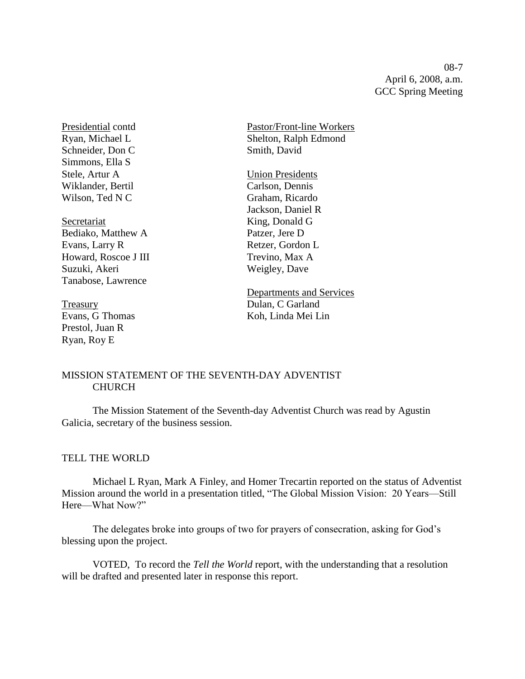08-7 April 6, 2008, a.m. GCC Spring Meeting

Schneider, Don C Smith, David Simmons, Ella S Stele, Artur A<br>
Wiklander, Bertil<br>
Wiklander, Bertil<br>
Carlson, Dennis Wiklander, Bertil Wilson, Ted N C Graham, Ricardo

Secretariat King, Donald G Bediako, Matthew A Patzer, Jere D Evans, Larry R Retzer, Gordon L Howard, Roscoe J III Trevino, Max A Suzuki, Akeri Weigley, Dave Tanabose, Lawrence

Prestol, Juan R Ryan, Roy E

Presidential contd Pastor/Front-line Workers Ryan, Michael L<br>Shelton, Ralph Edmond

Jackson, Daniel R

Departments and Services Treasury Dulan, C Garland Evans, G Thomas Koh, Linda Mei Lin

#### MISSION STATEMENT OF THE SEVENTH-DAY ADVENTIST CHURCH

The Mission Statement of the Seventh-day Adventist Church was read by Agustin Galicia, secretary of the business session.

#### TELL THE WORLD

Michael L Ryan, Mark A Finley, and Homer Trecartin reported on the status of Adventist Mission around the world in a presentation titled, "The Global Mission Vision: 20 Years—Still Here—What Now?"

The delegates broke into groups of two for prayers of consecration, asking for God's blessing upon the project.

VOTED, To record the *Tell the World* report, with the understanding that a resolution will be drafted and presented later in response this report.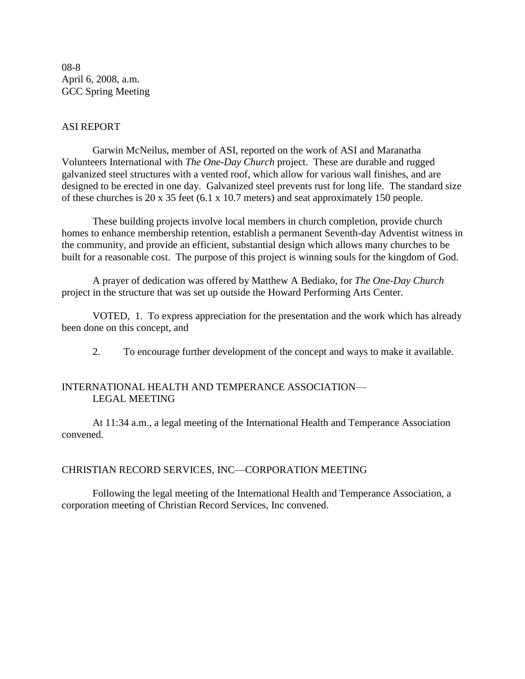08-8 April 6, 2008, a.m. GCC Spring Meeting

#### ASI REPORT

Garwin McNeilus, member of ASI, reported on the work of ASI and Maranatha Volunteers International with *The One-Day Church* project. These are durable and rugged galvanized steel structures with a vented roof, which allow for various wall finishes, and are designed to be erected in one day. Galvanized steel prevents rust for long life. The standard size of these churches is 20 x 35 feet (6.1 x 10.7 meters) and seat approximately 150 people.

These building projects involve local members in church completion, provide church homes to enhance membership retention, establish a permanent Seventh-day Adventist witness in the community, and provide an efficient, substantial design which allows many churches to be built for a reasonable cost. The purpose of this project is winning souls for the kingdom of God.

A prayer of dedication was offered by Matthew A Bediako, for *The One-Day Church* project in the structure that was set up outside the Howard Performing Arts Center.

VOTED, 1. To express appreciation for the presentation and the work which has already been done on this concept, and

2. To encourage further development of the concept and ways to make it available.

#### INTERNATIONAL HEALTH AND TEMPERANCE ASSOCIATION— LEGAL MEETING

At 11:34 a.m., a legal meeting of the International Health and Temperance Association convened.

#### CHRISTIAN RECORD SERVICES, INC—CORPORATION MEETING

Following the legal meeting of the International Health and Temperance Association, a corporation meeting of Christian Record Services, Inc convened.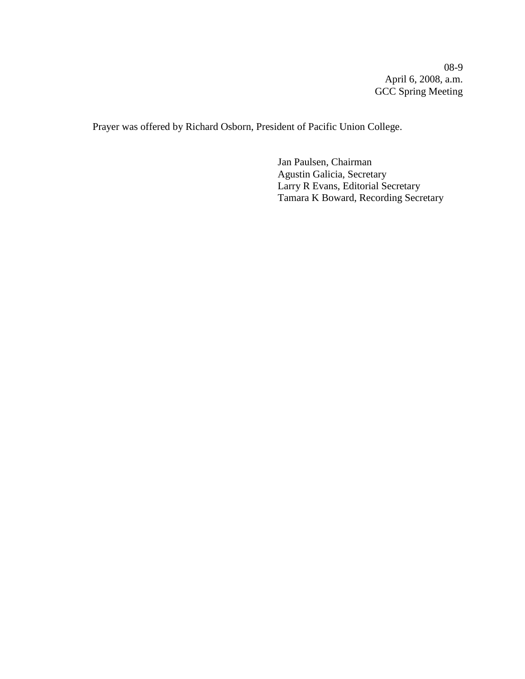08-9 April 6, 2008, a.m. GCC Spring Meeting

Prayer was offered by Richard Osborn, President of Pacific Union College.

Jan Paulsen, Chairman Agustin Galicia, Secretary Larry R Evans, Editorial Secretary Tamara K Boward, Recording Secretary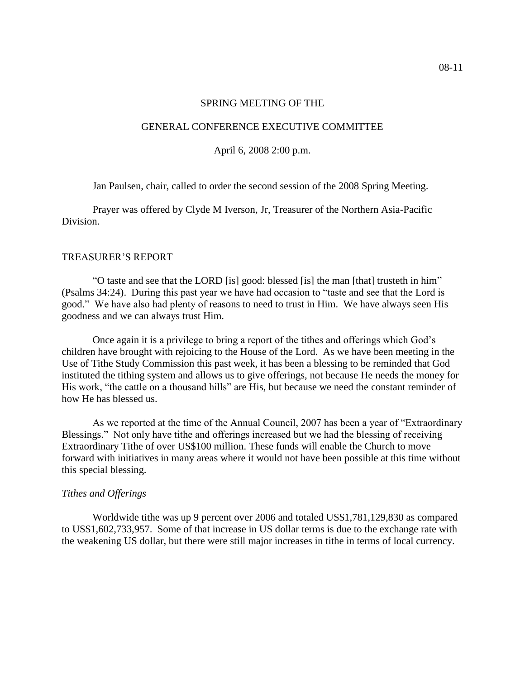#### GENERAL CONFERENCE EXECUTIVE COMMITTEE

April 6, 2008 2:00 p.m.

Jan Paulsen, chair, called to order the second session of the 2008 Spring Meeting.

Prayer was offered by Clyde M Iverson, Jr, Treasurer of the Northern Asia-Pacific Division.

#### TREASURER'S REPORT

"O taste and see that the LORD [is] good: blessed [is] the man [that] trusteth in him" (Psalms 34:24). During this past year we have had occasion to "taste and see that the Lord is good." We have also had plenty of reasons to need to trust in Him. We have always seen His goodness and we can always trust Him.

Once again it is a privilege to bring a report of the tithes and offerings which God's children have brought with rejoicing to the House of the Lord. As we have been meeting in the Use of Tithe Study Commission this past week, it has been a blessing to be reminded that God instituted the tithing system and allows us to give offerings, not because He needs the money for His work, "the cattle on a thousand hills" are His, but because we need the constant reminder of how He has blessed us.

As we reported at the time of the Annual Council, 2007 has been a year of "Extraordinary Blessings." Not only have tithe and offerings increased but we had the blessing of receiving Extraordinary Tithe of over US\$100 million. These funds will enable the Church to move forward with initiatives in many areas where it would not have been possible at this time without this special blessing.

#### *Tithes and Offerings*

Worldwide tithe was up 9 percent over 2006 and totaled US\$1,781,129,830 as compared to US\$1,602,733,957. Some of that increase in US dollar terms is due to the exchange rate with the weakening US dollar, but there were still major increases in tithe in terms of local currency.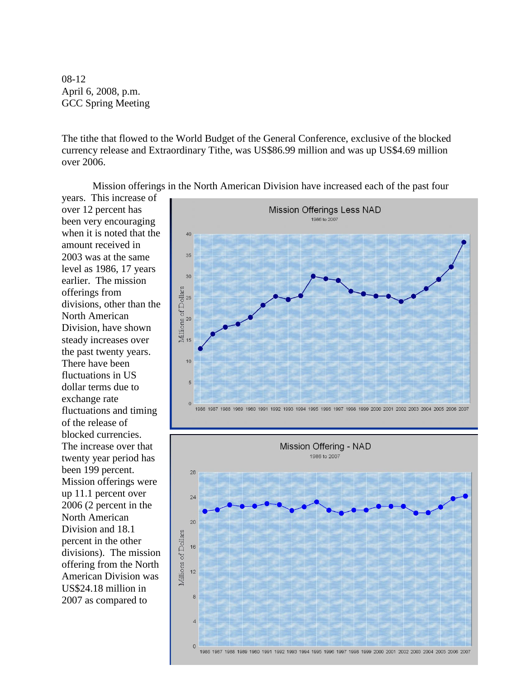08-12 April 6, 2008, p.m. GCC Spring Meeting

The tithe that flowed to the World Budget of the General Conference, exclusive of the blocked currency release and Extraordinary Tithe, was US\$86.99 million and was up US\$4.69 million over 2006.

Mission offerings in the North American Division have increased each of the past four

years. This increase of over 12 percent has been very encouraging when it is noted that the amount received in 2003 was at the same level as 1986, 17 years earlier. The mission offerings from divisions, other than the North American Division, have shown steady increases over the past twenty years. There have been fluctuations in US dollar terms due to exchange rate fluctuations and timing of the release of blocked currencies. The increase over that twenty year period has been 199 percent. Mission offerings were up 11.1 percent over 2006 (2 percent in the North American Division and 18.1 percent in the other divisions). The mission offering from the North American Division was US\$24.18 million in 2007 as compared to



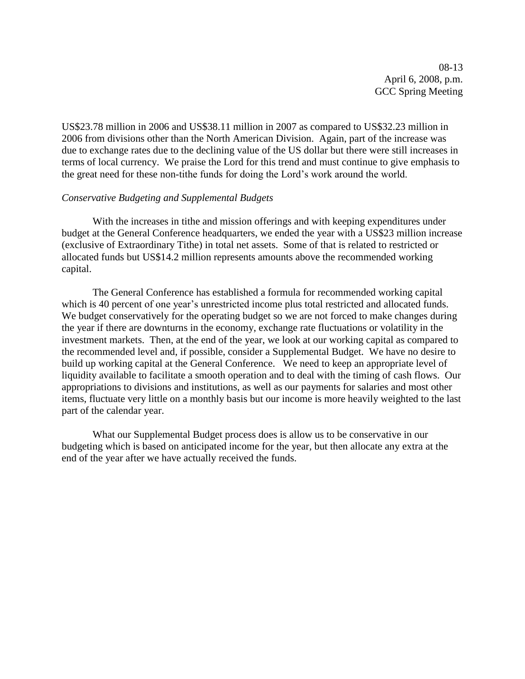08-13 April 6, 2008, p.m. GCC Spring Meeting

US\$23.78 million in 2006 and US\$38.11 million in 2007 as compared to US\$32.23 million in 2006 from divisions other than the North American Division. Again, part of the increase was due to exchange rates due to the declining value of the US dollar but there were still increases in terms of local currency. We praise the Lord for this trend and must continue to give emphasis to the great need for these non-tithe funds for doing the Lord's work around the world.

#### *Conservative Budgeting and Supplemental Budgets*

With the increases in tithe and mission offerings and with keeping expenditures under budget at the General Conference headquarters, we ended the year with a US\$23 million increase (exclusive of Extraordinary Tithe) in total net assets. Some of that is related to restricted or allocated funds but US\$14.2 million represents amounts above the recommended working capital.

The General Conference has established a formula for recommended working capital which is 40 percent of one year's unrestricted income plus total restricted and allocated funds. We budget conservatively for the operating budget so we are not forced to make changes during the year if there are downturns in the economy, exchange rate fluctuations or volatility in the investment markets. Then, at the end of the year, we look at our working capital as compared to the recommended level and, if possible, consider a Supplemental Budget. We have no desire to build up working capital at the General Conference. We need to keep an appropriate level of liquidity available to facilitate a smooth operation and to deal with the timing of cash flows. Our appropriations to divisions and institutions, as well as our payments for salaries and most other items, fluctuate very little on a monthly basis but our income is more heavily weighted to the last part of the calendar year.

What our Supplemental Budget process does is allow us to be conservative in our budgeting which is based on anticipated income for the year, but then allocate any extra at the end of the year after we have actually received the funds.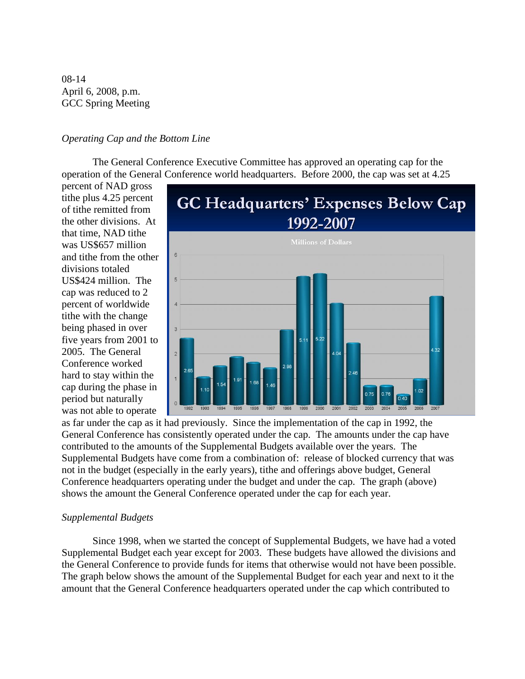08-14 April 6, 2008, p.m. GCC Spring Meeting

#### *Operating Cap and the Bottom Line*

The General Conference Executive Committee has approved an operating cap for the operation of the General Conference world headquarters. Before 2000, the cap was set at 4.25

percent of NAD gross tithe plus 4.25 percent of tithe remitted from the other divisions. At that time, NAD tithe was US\$657 million and tithe from the other divisions totaled US\$424 million. The cap was reduced to 2 percent of worldwide tithe with the change being phased in over five years from 2001 to 2005. The General Conference worked hard to stay within the cap during the phase in period but naturally was not able to operate



as far under the cap as it had previously. Since the implementation of the cap in 1992, the General Conference has consistently operated under the cap. The amounts under the cap have contributed to the amounts of the Supplemental Budgets available over the years. The Supplemental Budgets have come from a combination of: release of blocked currency that was not in the budget (especially in the early years), tithe and offerings above budget, General Conference headquarters operating under the budget and under the cap. The graph (above) shows the amount the General Conference operated under the cap for each year.

#### *Supplemental Budgets*

Since 1998, when we started the concept of Supplemental Budgets, we have had a voted Supplemental Budget each year except for 2003. These budgets have allowed the divisions and the General Conference to provide funds for items that otherwise would not have been possible. The graph below shows the amount of the Supplemental Budget for each year and next to it the amount that the General Conference headquarters operated under the cap which contributed to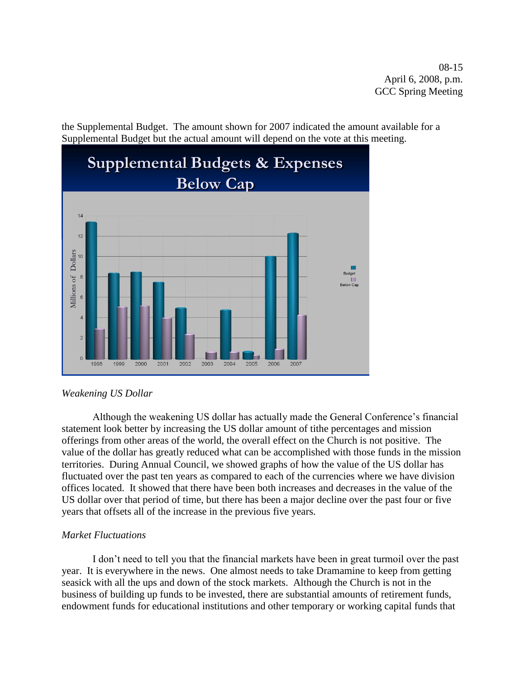08-15 April 6, 2008, p.m. GCC Spring Meeting

the Supplemental Budget. The amount shown for 2007 indicated the amount available for a Supplemental Budget but the actual amount will depend on the vote at this meeting.



#### *Weakening US Dollar*

Although the weakening US dollar has actually made the General Conference's financial statement look better by increasing the US dollar amount of tithe percentages and mission offerings from other areas of the world, the overall effect on the Church is not positive. The value of the dollar has greatly reduced what can be accomplished with those funds in the mission territories. During Annual Council, we showed graphs of how the value of the US dollar has fluctuated over the past ten years as compared to each of the currencies where we have division offices located. It showed that there have been both increases and decreases in the value of the US dollar over that period of time, but there has been a major decline over the past four or five years that offsets all of the increase in the previous five years.

#### *Market Fluctuations*

I don't need to tell you that the financial markets have been in great turmoil over the past year. It is everywhere in the news. One almost needs to take Dramamine to keep from getting seasick with all the ups and down of the stock markets. Although the Church is not in the business of building up funds to be invested, there are substantial amounts of retirement funds, endowment funds for educational institutions and other temporary or working capital funds that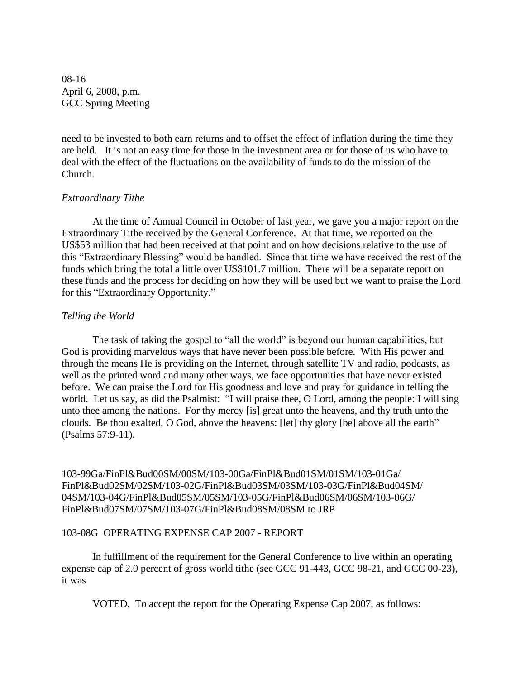08-16 April 6, 2008, p.m. GCC Spring Meeting

need to be invested to both earn returns and to offset the effect of inflation during the time they are held. It is not an easy time for those in the investment area or for those of us who have to deal with the effect of the fluctuations on the availability of funds to do the mission of the Church.

#### *Extraordinary Tithe*

At the time of Annual Council in October of last year, we gave you a major report on the Extraordinary Tithe received by the General Conference. At that time, we reported on the US\$53 million that had been received at that point and on how decisions relative to the use of this "Extraordinary Blessing" would be handled. Since that time we have received the rest of the funds which bring the total a little over US\$101.7 million. There will be a separate report on these funds and the process for deciding on how they will be used but we want to praise the Lord for this "Extraordinary Opportunity."

#### *Telling the World*

The task of taking the gospel to "all the world" is beyond our human capabilities, but God is providing marvelous ways that have never been possible before. With His power and through the means He is providing on the Internet, through satellite TV and radio, podcasts, as well as the printed word and many other ways, we face opportunities that have never existed before. We can praise the Lord for His goodness and love and pray for guidance in telling the world. Let us say, as did the Psalmist: "I will praise thee, O Lord, among the people: I will sing unto thee among the nations. For thy mercy [is] great unto the heavens, and thy truth unto the clouds. Be thou exalted, O God, above the heavens: [let] thy glory [be] above all the earth" (Psalms 57:9-11).

103-99Ga/FinPl&Bud00SM/00SM/103-00Ga/FinPl&Bud01SM/01SM/103-01Ga/ FinPl&Bud02SM/02SM/103-02G/FinPl&Bud03SM/03SM/103-03G/FinPl&Bud04SM/ 04SM/103-04G/FinPl&Bud05SM/05SM/103-05G/FinPl&Bud06SM/06SM/103-06G/ FinPl&Bud07SM/07SM/103-07G/FinPl&Bud08SM/08SM to JRP

#### 103-08G OPERATING EXPENSE CAP 2007 - REPORT

In fulfillment of the requirement for the General Conference to live within an operating expense cap of 2.0 percent of gross world tithe (see GCC 91-443, GCC 98-21, and GCC 00-23), it was

VOTED, To accept the report for the Operating Expense Cap 2007, as follows: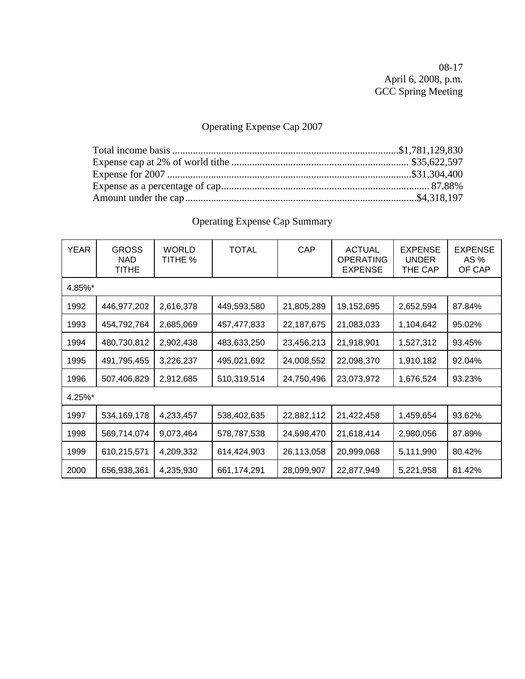08-17 April 6, 2008, p.m. GCC Spring Meeting

# Operating Expense Cap 2007

| <b>YEAR</b> | <b>GROSS</b><br>NAD.<br><b>TITHE</b> | <b>WORLD</b><br>TITHE % | <b>TOTAL</b>  | CAP        | <b>ACTUAL</b><br><b>OPERATING</b><br><b>EXPENSE</b> | <b>EXPENSE</b><br><b>UNDER</b><br>THE CAP | <b>EXPENSE</b><br>AS %<br>OF CAP |
|-------------|--------------------------------------|-------------------------|---------------|------------|-----------------------------------------------------|-------------------------------------------|----------------------------------|
| 4.85%*      |                                      |                         |               |            |                                                     |                                           |                                  |
| 1992        | 446,977,202                          | 2,616,378               | 449,593,580   | 21,805,289 | 19,152,695                                          | 2,652,594                                 | 87.84%                           |
| 1993        | 454,792,764                          | 2,685,069               | 457,477,833   | 22,187,675 | 21,083,033                                          | 1,104,642                                 | 95.02%                           |
| 1994        | 480,730,812                          | 2,902,438               | 483,633,250   | 23,456,213 | 21,918,901                                          | 1,527,312                                 | 93.45%                           |
| 1995        | 491,795,455                          | 3,226,237               | 495,021,692   | 24,008,552 | 22,098,370                                          | 1,910,182                                 | 92.04%                           |
| 1996        | 507,406,829                          | 2,912,685               | 510,319,514   | 24,750,496 | 23,073,972                                          | 1,676,524                                 | 93.23%                           |
| 4.25%*      |                                      |                         |               |            |                                                     |                                           |                                  |
| 1997        | 534, 169, 178                        | 4,233,457               | 538,402,635   | 22,882,112 | 21,422,458                                          | 1,459,654                                 | 93.62%                           |
| 1998        | 569,714,074                          | 9,073,464               | 578,787,538   | 24,598,470 | 21,618,414                                          | 2,980,056                                 | 87.89%                           |
| 1999        | 610,215,571                          | 4,209,332               | 614,424,903   | 26,113,058 | 20,999,068                                          | 5,111,990                                 | 80.42%                           |
| 2000        | 656,938,361                          | 4,235,930               | 661, 174, 291 | 28,099,907 | 22,877,949                                          | 5,221,958                                 | 81.42%                           |

# Operating Expense Cap Summary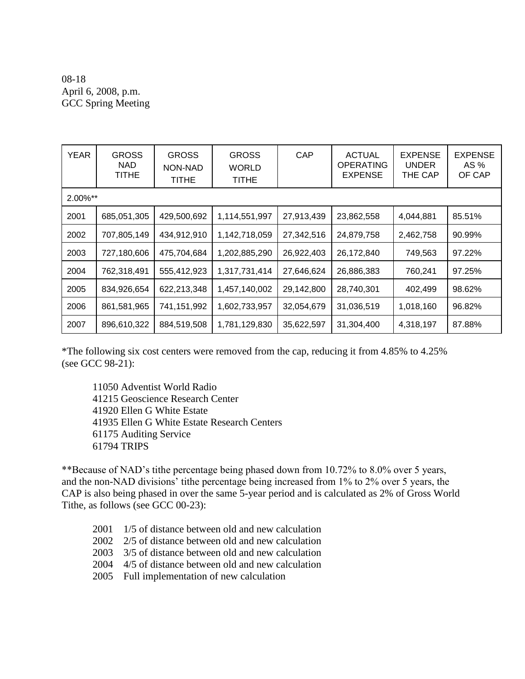## 08-18 April 6, 2008, p.m. GCC Spring Meeting

| YEAR        | <b>GROSS</b><br><b>NAD</b><br>TITHE | <b>GROSS</b><br>NON-NAD<br>TITHE | <b>GROSS</b><br><b>WORLD</b><br>TITHE | CAP        | <b>ACTUAL</b><br><b>OPERATING</b><br><b>EXPENSE</b> | <b>EXPENSE</b><br><b>UNDER</b><br>THE CAP | <b>EXPENSE</b><br>AS %<br>OF CAP |
|-------------|-------------------------------------|----------------------------------|---------------------------------------|------------|-----------------------------------------------------|-------------------------------------------|----------------------------------|
| $2.00\%$ ** |                                     |                                  |                                       |            |                                                     |                                           |                                  |
| 2001        | 685,051,305                         | 429,500,692                      | 1,114,551,997                         | 27,913,439 | 23,862,558                                          | 4,044,881                                 | 85.51%                           |
| 2002        | 707,805,149                         | 434,912,910                      | 1,142,718,059                         | 27,342,516 | 24,879,758                                          | 2,462,758                                 | 90.99%                           |
| 2003        | 727,180,606                         | 475,704,684                      | 1,202,885,290                         | 26,922,403 | 26,172,840                                          | 749,563                                   | 97.22%                           |
| 2004        | 762,318,491                         | 555,412,923                      | 1,317,731,414                         | 27,646,624 | 26,886,383                                          | 760,241                                   | 97.25%                           |
| 2005        | 834,926,654                         | 622,213,348                      | 1,457,140,002                         | 29,142,800 | 28,740,301                                          | 402,499                                   | 98.62%                           |
| 2006        | 861,581,965                         | 741,151,992                      | 1,602,733,957                         | 32,054,679 | 31,036,519                                          | 1,018,160                                 | 96.82%                           |
| 2007        | 896,610,322                         | 884,519,508                      | 1,781,129,830                         | 35,622,597 | 31,304,400                                          | 4,318,197                                 | 87.88%                           |

\*The following six cost centers were removed from the cap, reducing it from 4.85% to 4.25% (see GCC 98-21):

11050 Adventist World Radio 41215 Geoscience Research Center 41920 Ellen G White Estate 41935 Ellen G White Estate Research Centers 61175 Auditing Service 61794 TRIPS

\*\*Because of NAD's tithe percentage being phased down from 10.72% to 8.0% over 5 years, and the non-NAD divisions' tithe percentage being increased from 1% to 2% over 5 years, the CAP is also being phased in over the same 5-year period and is calculated as 2% of Gross World Tithe, as follows (see GCC 00-23):

- 2001 1/5 of distance between old and new calculation
- 2002 2/5 of distance between old and new calculation
- 2003 3/5 of distance between old and new calculation
- 2004 4/5 of distance between old and new calculation
- 2005 Full implementation of new calculation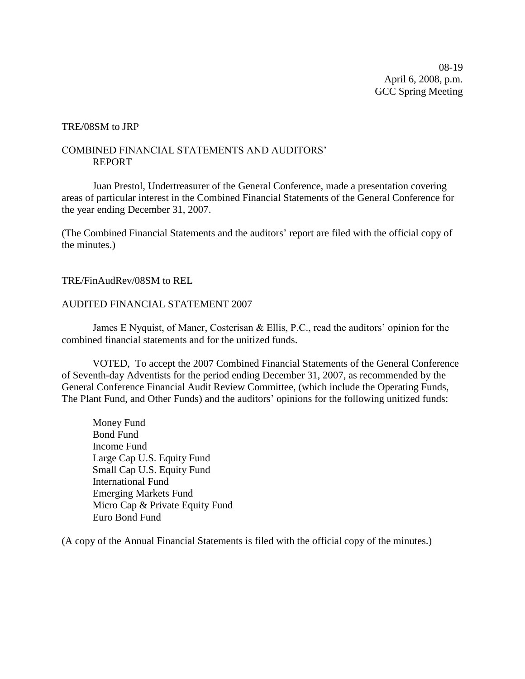08-19 April 6, 2008, p.m. GCC Spring Meeting

#### TRE/08SM to JRP

#### COMBINED FINANCIAL STATEMENTS AND AUDITORS' REPORT

Juan Prestol, Undertreasurer of the General Conference, made a presentation covering areas of particular interest in the Combined Financial Statements of the General Conference for the year ending December 31, 2007.

(The Combined Financial Statements and the auditors' report are filed with the official copy of the minutes.)

#### TRE/FinAudRev/08SM to REL

#### AUDITED FINANCIAL STATEMENT 2007

James E Nyquist, of Maner, Costerisan & Ellis, P.C., read the auditors' opinion for the combined financial statements and for the unitized funds.

VOTED, To accept the 2007 Combined Financial Statements of the General Conference of Seventh-day Adventists for the period ending December 31, 2007, as recommended by the General Conference Financial Audit Review Committee, (which include the Operating Funds, The Plant Fund, and Other Funds) and the auditors' opinions for the following unitized funds:

Money Fund Bond Fund Income Fund Large Cap U.S. Equity Fund Small Cap U.S. Equity Fund International Fund Emerging Markets Fund Micro Cap & Private Equity Fund Euro Bond Fund

(A copy of the Annual Financial Statements is filed with the official copy of the minutes.)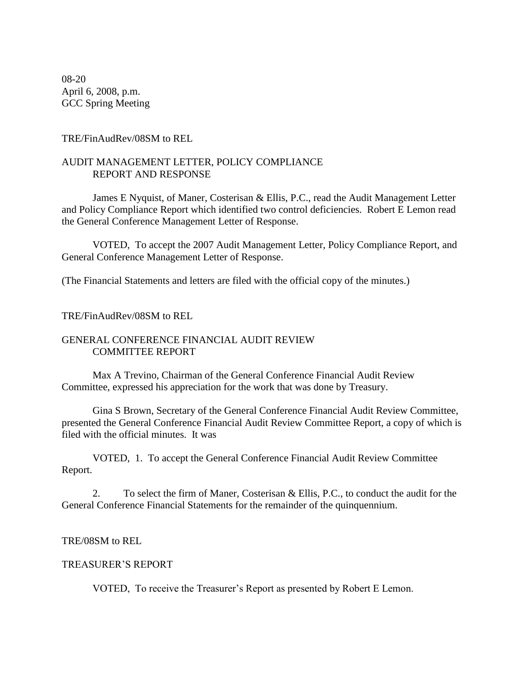08-20 April 6, 2008, p.m. GCC Spring Meeting

#### TRE/FinAudRev/08SM to REL

#### AUDIT MANAGEMENT LETTER, POLICY COMPLIANCE REPORT AND RESPONSE

James E Nyquist, of Maner, Costerisan & Ellis, P.C., read the Audit Management Letter and Policy Compliance Report which identified two control deficiencies. Robert E Lemon read the General Conference Management Letter of Response.

VOTED, To accept the 2007 Audit Management Letter, Policy Compliance Report, and General Conference Management Letter of Response.

(The Financial Statements and letters are filed with the official copy of the minutes.)

#### TRE/FinAudRev/08SM to REL

#### GENERAL CONFERENCE FINANCIAL AUDIT REVIEW COMMITTEE REPORT

Max A Trevino, Chairman of the General Conference Financial Audit Review Committee, expressed his appreciation for the work that was done by Treasury.

Gina S Brown, Secretary of the General Conference Financial Audit Review Committee, presented the General Conference Financial Audit Review Committee Report, a copy of which is filed with the official minutes. It was

VOTED, 1. To accept the General Conference Financial Audit Review Committee Report.

2. To select the firm of Maner, Costerisan & Ellis, P.C., to conduct the audit for the General Conference Financial Statements for the remainder of the quinquennium.

#### TRE/08SM to REL

#### TREASURER'S REPORT

VOTED, To receive the Treasurer's Report as presented by Robert E Lemon.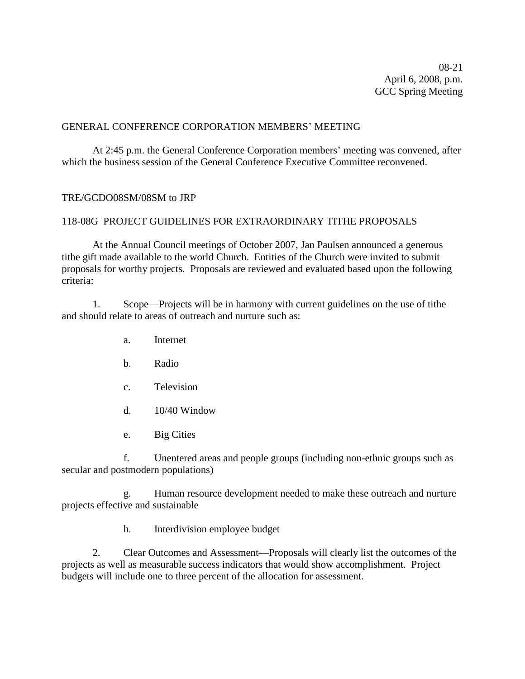08-21 April 6, 2008, p.m. GCC Spring Meeting

#### GENERAL CONFERENCE CORPORATION MEMBERS' MEETING

At 2:45 p.m. the General Conference Corporation members' meeting was convened, after which the business session of the General Conference Executive Committee reconvened.

#### TRE/GCDO08SM/08SM to JRP

#### 118-08G PROJECT GUIDELINES FOR EXTRAORDINARY TITHE PROPOSALS

At the Annual Council meetings of October 2007, Jan Paulsen announced a generous tithe gift made available to the world Church. Entities of the Church were invited to submit proposals for worthy projects. Proposals are reviewed and evaluated based upon the following criteria:

1. Scope—Projects will be in harmony with current guidelines on the use of tithe and should relate to areas of outreach and nurture such as:

- a. Internet
- b. Radio
- c. Television
- d. 10/40 Window
- e. Big Cities

f. Unentered areas and people groups (including non-ethnic groups such as secular and postmodern populations)

g. Human resource development needed to make these outreach and nurture projects effective and sustainable

h. Interdivision employee budget

2. Clear Outcomes and Assessment—Proposals will clearly list the outcomes of the projects as well as measurable success indicators that would show accomplishment. Project budgets will include one to three percent of the allocation for assessment.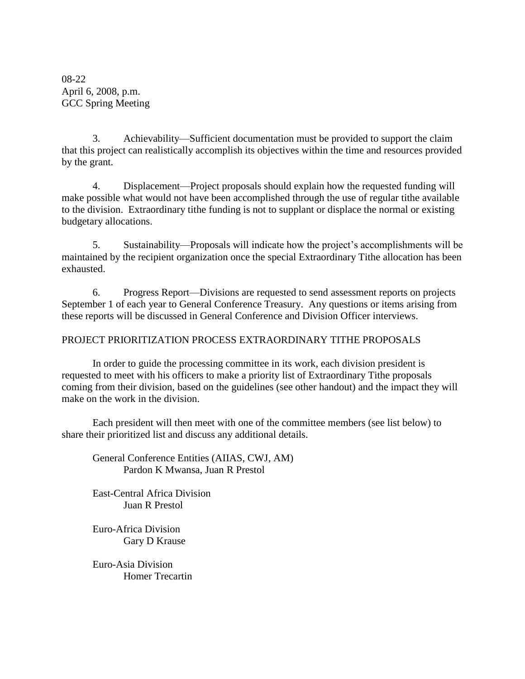08-22 April 6, 2008, p.m. GCC Spring Meeting

3. Achievability—Sufficient documentation must be provided to support the claim that this project can realistically accomplish its objectives within the time and resources provided by the grant.

4. Displacement—Project proposals should explain how the requested funding will make possible what would not have been accomplished through the use of regular tithe available to the division. Extraordinary tithe funding is not to supplant or displace the normal or existing budgetary allocations.

5. Sustainability—Proposals will indicate how the project's accomplishments will be maintained by the recipient organization once the special Extraordinary Tithe allocation has been exhausted.

6. Progress Report—Divisions are requested to send assessment reports on projects September 1 of each year to General Conference Treasury. Any questions or items arising from these reports will be discussed in General Conference and Division Officer interviews.

### PROJECT PRIORITIZATION PROCESS EXTRAORDINARY TITHE PROPOSALS

In order to guide the processing committee in its work, each division president is requested to meet with his officers to make a priority list of Extraordinary Tithe proposals coming from their division, based on the guidelines (see other handout) and the impact they will make on the work in the division.

Each president will then meet with one of the committee members (see list below) to share their prioritized list and discuss any additional details.

General Conference Entities (AIIAS, CWJ, AM) Pardon K Mwansa, Juan R Prestol

East-Central Africa Division Juan R Prestol

Euro-Africa Division Gary D Krause

Euro-Asia Division Homer Trecartin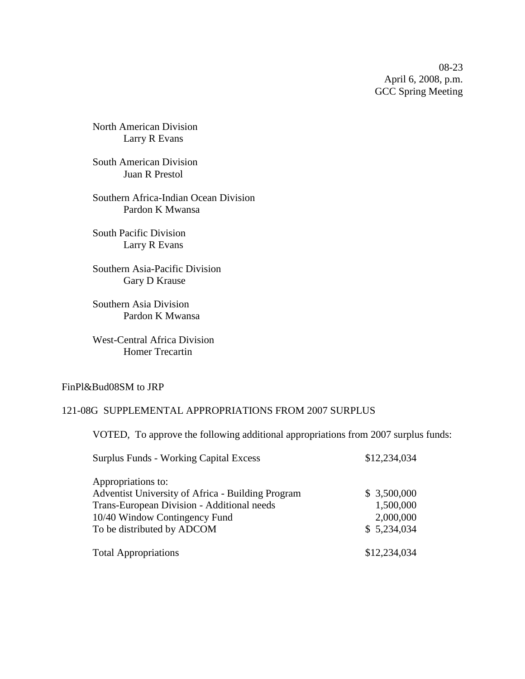08-23 April 6, 2008, p.m. GCC Spring Meeting

North American Division Larry R Evans

South American Division Juan R Prestol

Southern Africa-Indian Ocean Division Pardon K Mwansa

South Pacific Division Larry R Evans

Southern Asia-Pacific Division Gary D Krause

Southern Asia Division Pardon K Mwansa

West-Central Africa Division Homer Trecartin

#### FinPl&Bud08SM to JRP

#### 121-08G SUPPLEMENTAL APPROPRIATIONS FROM 2007 SURPLUS

VOTED, To approve the following additional appropriations from 2007 surplus funds:

| <b>Surplus Funds - Working Capital Excess</b>     | \$12,234,034 |
|---------------------------------------------------|--------------|
| Appropriations to:                                |              |
| Adventist University of Africa - Building Program | \$3,500,000  |
| Trans-European Division - Additional needs        | 1,500,000    |
| 10/40 Window Contingency Fund                     | 2,000,000    |
| To be distributed by ADCOM                        | \$5,234,034  |
| <b>Total Appropriations</b>                       | \$12,234,034 |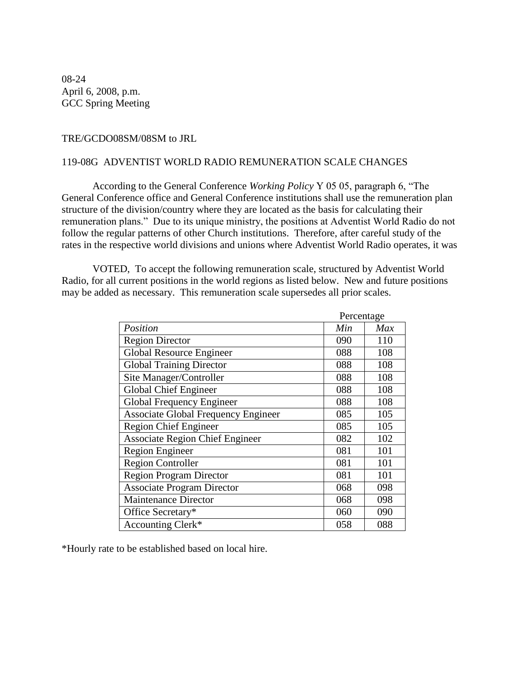08-24 April 6, 2008, p.m. GCC Spring Meeting

#### TRE/GCDO08SM/08SM to JRL

#### 119-08G ADVENTIST WORLD RADIO REMUNERATION SCALE CHANGES

According to the General Conference *Working Policy* Y 05 05, paragraph 6, "The General Conference office and General Conference institutions shall use the remuneration plan structure of the division/country where they are located as the basis for calculating their remuneration plans." Due to its unique ministry, the positions at Adventist World Radio do not follow the regular patterns of other Church institutions. Therefore, after careful study of the rates in the respective world divisions and unions where Adventist World Radio operates, it was

VOTED, To accept the following remuneration scale, structured by Adventist World Radio, for all current positions in the world regions as listed below. New and future positions may be added as necessary. This remuneration scale supersedes all prior scales.

|                                            | Percentage |     |
|--------------------------------------------|------------|-----|
| Position                                   | Min        | Max |
| <b>Region Director</b>                     | 090        | 110 |
| Global Resource Engineer                   | 088        | 108 |
| <b>Global Training Director</b>            | 088        | 108 |
| Site Manager/Controller                    | 088        | 108 |
| <b>Global Chief Engineer</b>               | 088        | 108 |
| Global Frequency Engineer                  | 088        | 108 |
| <b>Associate Global Frequency Engineer</b> | 085        | 105 |
| <b>Region Chief Engineer</b>               | 085        | 105 |
| <b>Associate Region Chief Engineer</b>     | 082        | 102 |
| <b>Region Engineer</b>                     | 081        | 101 |
| <b>Region Controller</b>                   | 081        | 101 |
| <b>Region Program Director</b>             | 081        | 101 |
| <b>Associate Program Director</b>          | 068        | 098 |
| <b>Maintenance Director</b>                | 068        | 098 |
| Office Secretary*                          | 060        | 090 |
| Accounting Clerk*                          | 058        | 088 |

\*Hourly rate to be established based on local hire.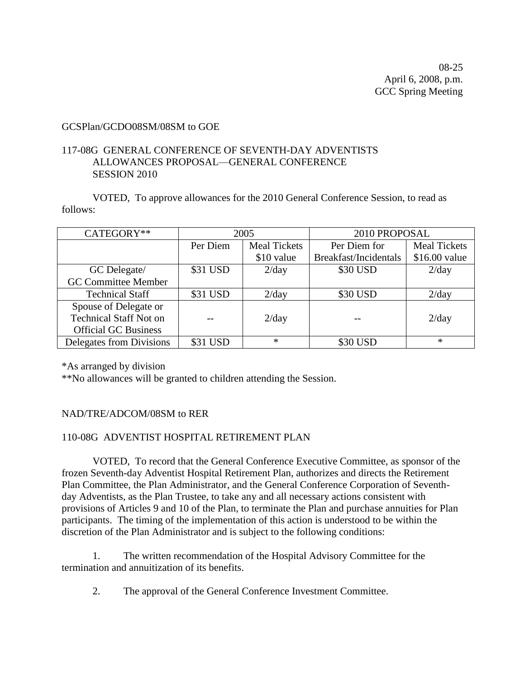08-25 April 6, 2008, p.m. GCC Spring Meeting

#### GCSPlan/GCDO08SM/08SM to GOE

#### 117-08G GENERAL CONFERENCE OF SEVENTH-DAY ADVENTISTS ALLOWANCES PROPOSAL—GENERAL CONFERENCE SESSION 2010

VOTED, To approve allowances for the 2010 General Conference Session, to read as follows:

| CATEGORY**                    | 2005     |                     | 2010 PROPOSAL         |                     |
|-------------------------------|----------|---------------------|-----------------------|---------------------|
|                               | Per Diem | <b>Meal Tickets</b> | Per Diem for          | <b>Meal Tickets</b> |
|                               |          | \$10 value          | Breakfast/Incidentals | \$16.00 value       |
| GC Delegate/                  | \$31 USD | 2/day               | \$30 USD              | 2/day               |
| <b>GC Committee Member</b>    |          |                     |                       |                     |
| <b>Technical Staff</b>        | \$31 USD | 2/day               | \$30 USD              | 2/day               |
| Spouse of Delegate or         |          |                     |                       |                     |
| <b>Technical Staff Not on</b> |          | 2/day               |                       | 2/day               |
| <b>Official GC Business</b>   |          |                     |                       |                     |
| Delegates from Divisions      | \$31 USD | $\ast$              | \$30 USD              | $\ast$              |

\*As arranged by division

\*\*No allowances will be granted to children attending the Session.

#### NAD/TRE/ADCOM/08SM to RER

#### 110-08G ADVENTIST HOSPITAL RETIREMENT PLAN

VOTED, To record that the General Conference Executive Committee, as sponsor of the frozen Seventh-day Adventist Hospital Retirement Plan, authorizes and directs the Retirement Plan Committee, the Plan Administrator, and the General Conference Corporation of Seventhday Adventists, as the Plan Trustee, to take any and all necessary actions consistent with provisions of Articles 9 and 10 of the Plan, to terminate the Plan and purchase annuities for Plan participants. The timing of the implementation of this action is understood to be within the discretion of the Plan Administrator and is subject to the following conditions:

1. The written recommendation of the Hospital Advisory Committee for the termination and annuitization of its benefits.

2. The approval of the General Conference Investment Committee.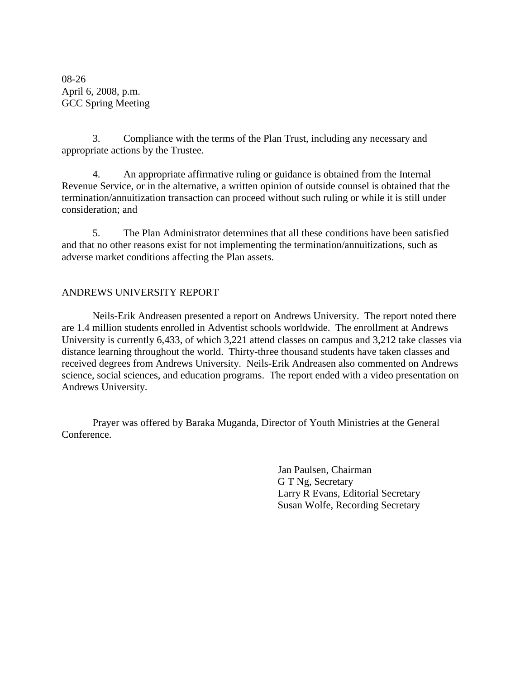08-26 April 6, 2008, p.m. GCC Spring Meeting

3. Compliance with the terms of the Plan Trust, including any necessary and appropriate actions by the Trustee.

4. An appropriate affirmative ruling or guidance is obtained from the Internal Revenue Service, or in the alternative, a written opinion of outside counsel is obtained that the termination/annuitization transaction can proceed without such ruling or while it is still under consideration; and

5. The Plan Administrator determines that all these conditions have been satisfied and that no other reasons exist for not implementing the termination/annuitizations, such as adverse market conditions affecting the Plan assets.

#### ANDREWS UNIVERSITY REPORT

Neils-Erik Andreasen presented a report on Andrews University. The report noted there are 1.4 million students enrolled in Adventist schools worldwide. The enrollment at Andrews University is currently 6,433, of which 3,221 attend classes on campus and 3,212 take classes via distance learning throughout the world. Thirty-three thousand students have taken classes and received degrees from Andrews University. Neils-Erik Andreasen also commented on Andrews science, social sciences, and education programs. The report ended with a video presentation on Andrews University.

Prayer was offered by Baraka Muganda, Director of Youth Ministries at the General Conference.

> Jan Paulsen, Chairman G T Ng, Secretary Larry R Evans, Editorial Secretary Susan Wolfe, Recording Secretary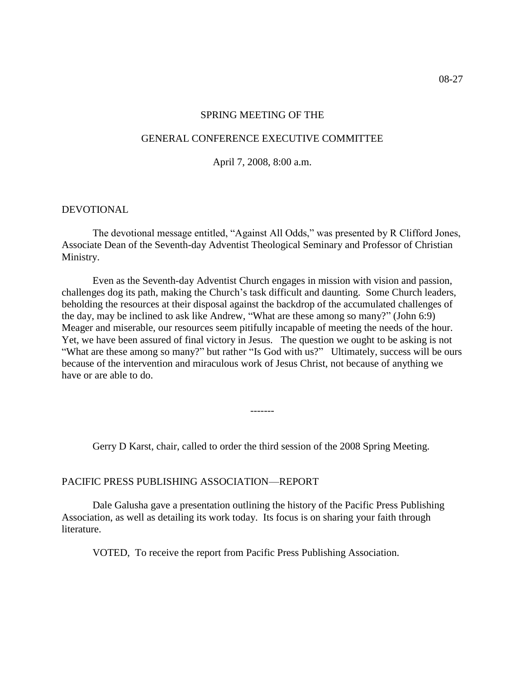#### SPRING MEETING OF THE

#### GENERAL CONFERENCE EXECUTIVE COMMITTEE

April 7, 2008, 8:00 a.m.

#### DEVOTIONAL

The devotional message entitled, "Against All Odds," was presented by R Clifford Jones, Associate Dean of the Seventh-day Adventist Theological Seminary and Professor of Christian Ministry.

Even as the Seventh-day Adventist Church engages in mission with vision and passion, challenges dog its path, making the Church's task difficult and daunting. Some Church leaders, beholding the resources at their disposal against the backdrop of the accumulated challenges of the day, may be inclined to ask like Andrew, "What are these among so many?" (John 6:9) Meager and miserable, our resources seem pitifully incapable of meeting the needs of the hour. Yet, we have been assured of final victory in Jesus. The question we ought to be asking is not "What are these among so many?" but rather "Is God with us?" Ultimately, success will be ours because of the intervention and miraculous work of Jesus Christ, not because of anything we have or are able to do.

Gerry D Karst, chair, called to order the third session of the 2008 Spring Meeting.

-------

#### PACIFIC PRESS PUBLISHING ASSOCIATION—REPORT

Dale Galusha gave a presentation outlining the history of the Pacific Press Publishing Association, as well as detailing its work today. Its focus is on sharing your faith through literature.

VOTED, To receive the report from Pacific Press Publishing Association.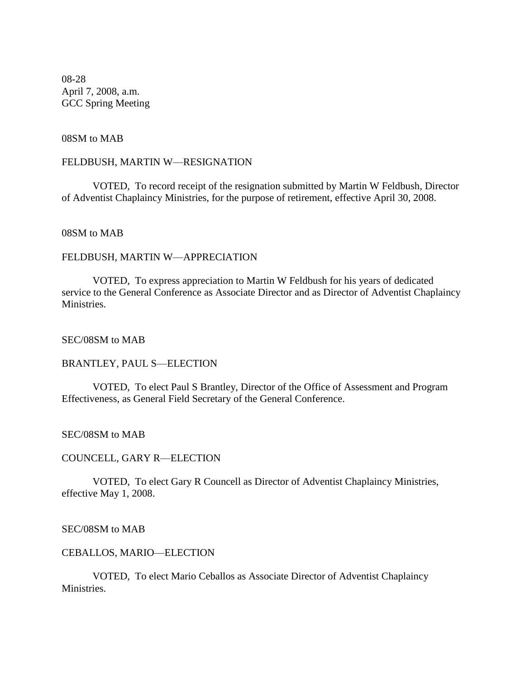08-28 April 7, 2008, a.m. GCC Spring Meeting

#### 08SM to MAB

#### FELDBUSH, MARTIN W—RESIGNATION

VOTED, To record receipt of the resignation submitted by Martin W Feldbush, Director of Adventist Chaplaincy Ministries, for the purpose of retirement, effective April 30, 2008.

#### 08SM to MAB

#### FELDBUSH, MARTIN W—APPRECIATION

VOTED, To express appreciation to Martin W Feldbush for his years of dedicated service to the General Conference as Associate Director and as Director of Adventist Chaplaincy **Ministries** 

#### SEC/08SM to MAB

#### BRANTLEY, PAUL S—ELECTION

VOTED, To elect Paul S Brantley, Director of the Office of Assessment and Program Effectiveness, as General Field Secretary of the General Conference.

#### SEC/08SM to MAB

#### COUNCELL, GARY R—ELECTION

VOTED, To elect Gary R Councell as Director of Adventist Chaplaincy Ministries, effective May 1, 2008.

#### SEC/08SM to MAB

#### CEBALLOS, MARIO—ELECTION

VOTED, To elect Mario Ceballos as Associate Director of Adventist Chaplaincy Ministries.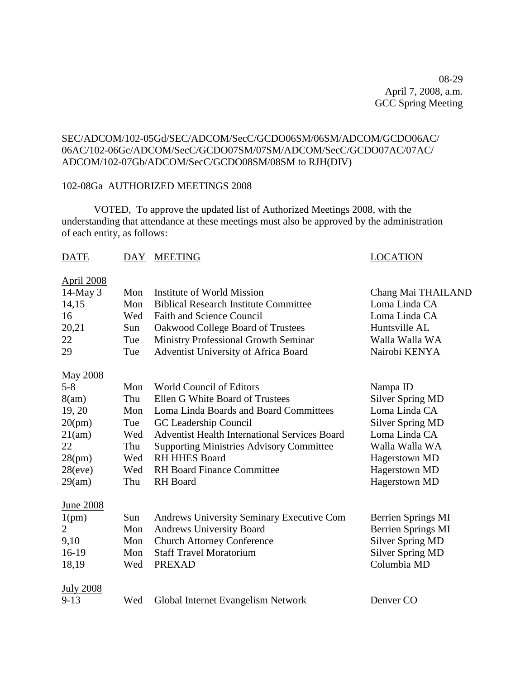08-29 April 7, 2008, a.m. GCC Spring Meeting

#### SEC/ADCOM/102-05Gd/SEC/ADCOM/SecC/GCDO06SM/06SM/ADCOM/GCDO06AC/ 06AC/102-06Gc/ADCOM/SecC/GCDO07SM/07SM/ADCOM/SecC/GCDO07AC/07AC/ ADCOM/102-07Gb/ADCOM/SecC/GCDO08SM/08SM to RJH(DIV)

#### 102-08Ga AUTHORIZED MEETINGS 2008

VOTED, To approve the updated list of Authorized Meetings 2008, with the understanding that attendance at these meetings must also be approved by the administration of each entity, as follows:

#### DATE DAY MEETING DATE LOCATION

#### April 2008

| $14$ -May 3      | Mon | Institute of World Mission                       | Chang Mai THAILAND        |
|------------------|-----|--------------------------------------------------|---------------------------|
| 14,15            | Mon | <b>Biblical Research Institute Committee</b>     | Loma Linda CA             |
| 16               | Wed | <b>Faith and Science Council</b>                 | Loma Linda CA             |
| 20,21            | Sun | Oakwood College Board of Trustees                | Huntsville AL             |
| 22               | Tue | Ministry Professional Growth Seminar             | Walla Walla WA            |
| 29               | Tue | Adventist University of Africa Board             | Nairobi KENYA             |
| <b>May 2008</b>  |     |                                                  |                           |
| $5 - 8$          | Mon | <b>World Council of Editors</b>                  | Nampa ID                  |
| 8(am)            | Thu | Ellen G White Board of Trustees                  | <b>Silver Spring MD</b>   |
| 19, 20           | Mon | Loma Linda Boards and Board Committees           | Loma Linda CA             |
| 20(pm)           | Tue | GC Leadership Council                            | <b>Silver Spring MD</b>   |
| 21(am)           | Wed | Adventist Health International Services Board    | Loma Linda CA             |
| 22               | Thu | <b>Supporting Ministries Advisory Committee</b>  | Walla Walla WA            |
| 28(pm)           | Wed | <b>RH HHES Board</b>                             | <b>Hagerstown MD</b>      |
| 28(eve)          | Wed | <b>RH Board Finance Committee</b>                | <b>Hagerstown MD</b>      |
| 29(am)           | Thu | <b>RH</b> Board                                  | Hagerstown MD             |
| <b>June 2008</b> |     |                                                  |                           |
| 1(pm)            | Sun | <b>Andrews University Seminary Executive Com</b> | Berrien Springs MI        |
| $\overline{2}$   | Mon | <b>Andrews University Board</b>                  | <b>Berrien Springs MI</b> |
| 9,10             | Mon | <b>Church Attorney Conference</b>                | <b>Silver Spring MD</b>   |
| 16-19            | Mon | <b>Staff Travel Moratorium</b>                   | <b>Silver Spring MD</b>   |
| 18,19            | Wed | <b>PREXAD</b>                                    | Columbia MD               |
| <b>July 2008</b> |     |                                                  |                           |
| $9-13$           | Wed | Global Internet Evangelism Network               | Denver CO                 |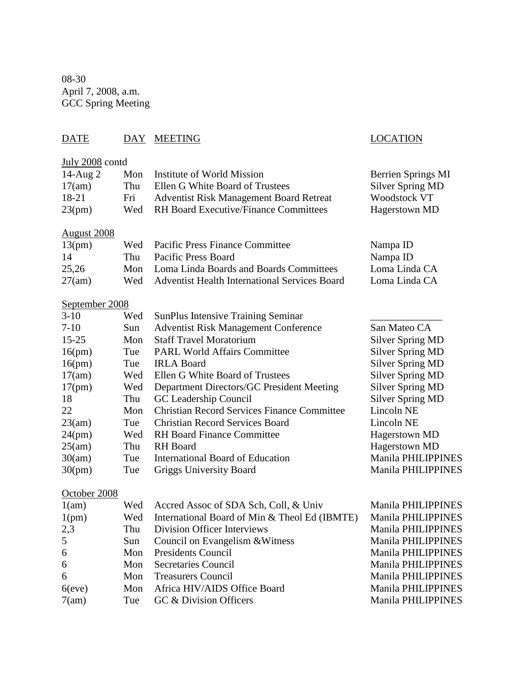08-30 April 7, 2008, a.m. GCC Spring Meeting

# DATE DAY MEETING LOCATION

| July 2008 contd    |     |                                                      |                           |
|--------------------|-----|------------------------------------------------------|---------------------------|
| 14-Aug 2           | Mon | Institute of World Mission                           | Berrien Springs MI        |
| 17(am)             | Thu | Ellen G White Board of Trustees                      | <b>Silver Spring MD</b>   |
| 18-21              | Fri | <b>Adventist Risk Management Board Retreat</b>       | Woodstock VT              |
| 23(pm)             | Wed | <b>RH Board Executive/Finance Committees</b>         | <b>Hagerstown MD</b>      |
|                    |     |                                                      |                           |
| <b>August 2008</b> |     |                                                      |                           |
| 13(pm)             | Wed | <b>Pacific Press Finance Committee</b>               | Nampa ID                  |
| 14                 | Thu | <b>Pacific Press Board</b>                           | Nampa ID                  |
| 25,26              | Mon | Loma Linda Boards and Boards Committees              | Loma Linda CA             |
| 27(am)             | Wed | <b>Adventist Health International Services Board</b> | Loma Linda CA             |
| September 2008     |     |                                                      |                           |
| $3-10$             | Wed | <b>SunPlus Intensive Training Seminar</b>            |                           |
| $7-10$             | Sun | <b>Adventist Risk Management Conference</b>          | San Mateo CA              |
| $15 - 25$          | Mon | <b>Staff Travel Moratorium</b>                       | <b>Silver Spring MD</b>   |
| 16(pm)             | Tue | <b>PARL World Affairs Committee</b>                  | <b>Silver Spring MD</b>   |
| 16(pm)             | Tue | <b>IRLA Board</b>                                    | <b>Silver Spring MD</b>   |
| 17(am)             | Wed | Ellen G White Board of Trustees                      | <b>Silver Spring MD</b>   |
| 17(pm)             | Wed | Department Directors/GC President Meeting            | <b>Silver Spring MD</b>   |
| 18                 | Thu | GC Leadership Council                                | <b>Silver Spring MD</b>   |
| 22                 | Mon | <b>Christian Record Services Finance Committee</b>   | Lincoln NE                |
| 23(am)             | Tue | <b>Christian Record Services Board</b>               | Lincoln NE                |
| 24(pm)             | Wed | <b>RH Board Finance Committee</b>                    | Hagerstown MD             |
| 25(am)             | Thu | <b>RH</b> Board                                      | Hagerstown MD             |
| 30(am)             | Tue | <b>International Board of Education</b>              | Manila PHILIPPINES        |
| 30(pm)             | Tue | Griggs University Board                              | <b>Manila PHILIPPINES</b> |
|                    |     |                                                      |                           |
| October 2008       |     |                                                      |                           |
| 1(am)              | Wed | Accred Assoc of SDA Sch, Coll, & Univ                | Manila PHILIPPINES        |
| 1(pm)              | Wed | International Board of Min & Theol Ed (IBMTE)        | Manila PHILIPPINES        |
| 2,3                | Thu | <b>Division Officer Interviews</b>                   | Manila PHILIPPINES        |
| 5                  | Sun | Council on Evangelism & Witness                      | Manila PHILIPPINES        |
| 6                  | Mon | Presidents Council                                   | Manila PHILIPPINES        |
| 6                  | Mon | <b>Secretaries Council</b>                           | Manila PHILIPPINES        |
| 6                  | Mon | <b>Treasurers Council</b>                            | <b>Manila PHILIPPINES</b> |
| $6$ (eve)          | Mon | Africa HIV/AIDS Office Board                         | Manila PHILIPPINES        |
| 7(am)              | Tue | GC & Division Officers                               | <b>Manila PHILIPPINES</b> |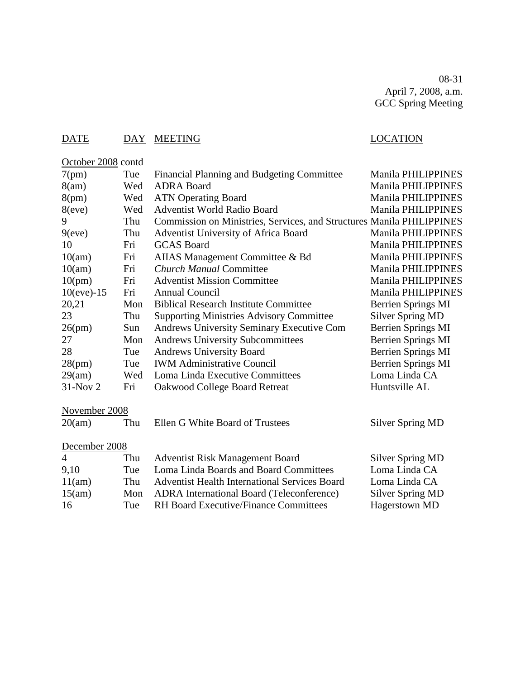08-31 April 7, 2008, a.m. GCC Spring Meeting

# DATE DAY MEETING LOCATION

October 2008 contd

| Financial Planning and Budgeting Committee<br>7(pm)<br>Tue                        | Manila PHILIPPINES        |
|-----------------------------------------------------------------------------------|---------------------------|
| Wed<br><b>ADRA Board</b><br>8(am)                                                 | Manila PHILIPPINES        |
| 8(pm)<br><b>ATN Operating Board</b><br>Wed                                        | Manila PHILIPPINES        |
| Wed<br><b>Adventist World Radio Board</b><br>8(eve)                               | <b>Manila PHILIPPINES</b> |
| Commission on Ministries, Services, and Structures Manila PHILIPPINES<br>9<br>Thu |                           |
| 9(eve)<br>Thu<br>Adventist University of Africa Board                             | <b>Manila PHILIPPINES</b> |
| Fri<br><b>GCAS Board</b><br>10                                                    | Manila PHILIPPINES        |
| 10(am)<br>Fri<br>AIIAS Management Committee & Bd                                  | <b>Manila PHILIPPINES</b> |
| Fri<br><b>Church Manual Committee</b><br>10(am)                                   | Manila PHILIPPINES        |
| 10(pm)<br>Fri<br><b>Adventist Mission Committee</b>                               | <b>Manila PHILIPPINES</b> |
| Fri<br>$10(eve) - 15$<br><b>Annual Council</b>                                    | <b>Manila PHILIPPINES</b> |
| 20,21<br>Mon<br><b>Biblical Research Institute Committee</b>                      | <b>Berrien Springs MI</b> |
| <b>Supporting Ministries Advisory Committee</b><br>23<br>Thu                      | <b>Silver Spring MD</b>   |
| 26(pm)<br>Sun<br>Andrews University Seminary Executive Com                        | <b>Berrien Springs MI</b> |
| <b>Andrews University Subcommittees</b><br>27<br>Mon                              | Berrien Springs MI        |
| 28<br>Tue<br><b>Andrews University Board</b>                                      | Berrien Springs MI        |
| <b>IWM Administrative Council</b><br>28(pm)<br>Tue                                | <b>Berrien Springs MI</b> |
| 29(am)<br>Wed<br>Loma Linda Executive Committees                                  | Loma Linda CA             |
| $31-Nov2$<br>Fri<br>Oakwood College Board Retreat                                 | Huntsville AL             |
| November 2008                                                                     |                           |
| Ellen G White Board of Trustees<br>20(am)<br>Thu                                  | <b>Silver Spring MD</b>   |
| December 2008                                                                     |                           |
| $\overline{4}$<br><b>Adventist Risk Management Board</b><br>Thu                   | Silver Spring MD          |
| Loma Linda Boards and Board Committees<br>9,10<br>Tue                             | Loma Linda CA             |
|                                                                                   |                           |
| Thu<br><b>Adventist Health International Services Board</b>                       | Loma Linda CA             |
| 11(am)<br>Mon<br><b>ADRA</b> International Board (Teleconference)<br>15(am)       | <b>Silver Spring MD</b>   |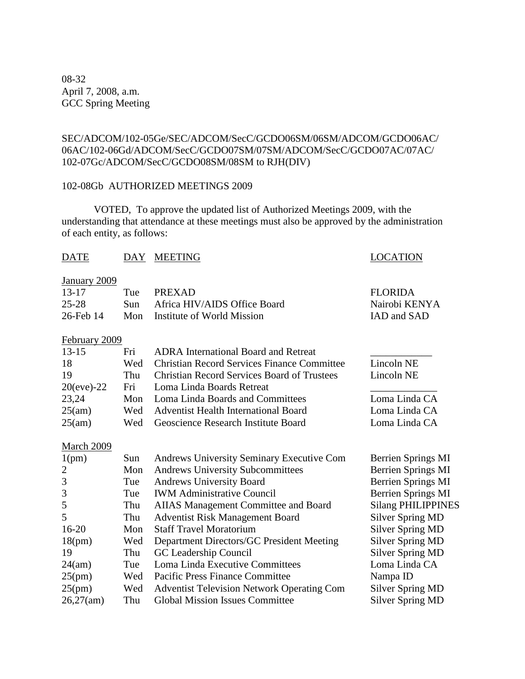08-32 April 7, 2008, a.m. GCC Spring Meeting

#### SEC/ADCOM/102-05Ge/SEC/ADCOM/SecC/GCDO06SM/06SM/ADCOM/GCDO06AC/ 06AC/102-06Gd/ADCOM/SecC/GCDO07SM/07SM/ADCOM/SecC/GCDO07AC/07AC/ 102-07Gc/ADCOM/SecC/GCDO08SM/08SM to RJH(DIV)

#### 102-08Gb AUTHORIZED MEETINGS 2009

VOTED, To approve the updated list of Authorized Meetings 2009, with the understanding that attendance at these meetings must also be approved by the administration of each entity, as follows:

#### DATE DAY MEETING DATE LOCATION

### January 2009

| $13 - 17$ | Tue PREXAD                       | <b>FLORIDA</b> |
|-----------|----------------------------------|----------------|
| $25 - 28$ | Sun Africa HIV/AIDS Office Board | Nairobi KENYA  |
| 26-Feb 14 | Mon Institute of World Mission   | IAD and SAD    |

#### February 2009

| $13-15$        | Fri | <b>ADRA</b> International Board and Retreat        |               |
|----------------|-----|----------------------------------------------------|---------------|
| 18             | Wed | <b>Christian Record Services Finance Committee</b> | Lincoln NE    |
| 19             | Thu | <b>Christian Record Services Board of Trustees</b> | Lincoln NE    |
| $20(eve) - 22$ |     | Fri Loma Linda Boards Retreat                      |               |
| 23,24          |     | Mon Loma Linda Boards and Committees               | Loma Linda CA |
| 25(am)         |     | Wed Adventist Health International Board           | Loma Linda CA |
| 25(am)         |     | Wed Geoscience Research Institute Board            | Loma Linda CA |

#### March 2009

| 1(pm)     | Sun | Andrews University Seminary Executive Com         | Berrien Springs MI        |
|-----------|-----|---------------------------------------------------|---------------------------|
| 2         | Mon | <b>Andrews University Subcommittees</b>           | <b>Berrien Springs MI</b> |
| 3         | Tue | <b>Andrews University Board</b>                   | Berrien Springs MI        |
| 3         | Tue | <b>IWM Administrative Council</b>                 | Berrien Springs MI        |
| 5         | Thu | AIIAS Management Committee and Board              | <b>Silang PHILIPPINES</b> |
| 5         | Thu | <b>Adventist Risk Management Board</b>            | <b>Silver Spring MD</b>   |
| $16 - 20$ | Mon | <b>Staff Travel Moratorium</b>                    | <b>Silver Spring MD</b>   |
| 18(pm)    | Wed | Department Directors/GC President Meeting         | <b>Silver Spring MD</b>   |
| 19        | Thu | GC Leadership Council                             | <b>Silver Spring MD</b>   |
| 24(am)    | Tue | Loma Linda Executive Committees                   | Loma Linda CA             |
| 25(pm)    | Wed | <b>Pacific Press Finance Committee</b>            | Nampa ID                  |
| 25(pm)    | Wed | <b>Adventist Television Network Operating Com</b> | Silver Spring MD          |
| 26,27(am) | Thu | <b>Global Mission Issues Committee</b>            | <b>Silver Spring MD</b>   |
|           |     |                                                   |                           |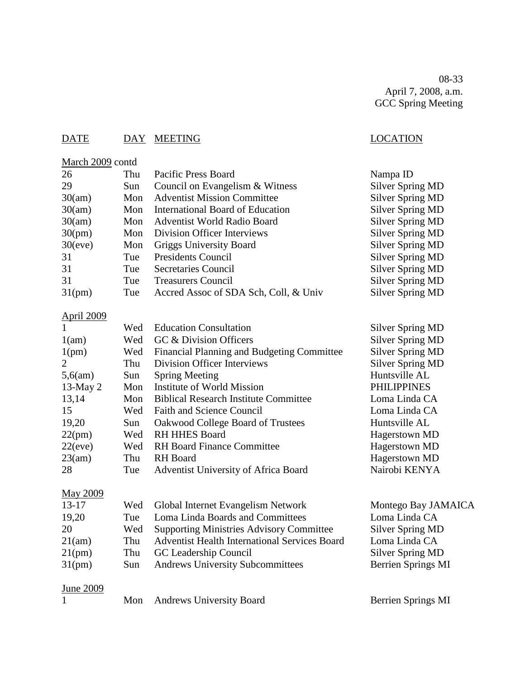08-33 April 7, 2008, a.m. GCC Spring Meeting

Nampa ID

Silver Spring MD Silver Spring MD Silver Spring MD Silver Spring MD Silver Spring MD Silver Spring MD Silver Spring MD Silver Spring MD Silver Spring MD Silver Spring MD

### DATE DAY MEETING DATE LOCATION

#### March 2009 contd

| 26        | Thu | <b>Pacific Press Board</b>            |
|-----------|-----|---------------------------------------|
| 29        | Sun | Council on Evangelism & Witness       |
| 30(am)    | Mon | <b>Adventist Mission Committee</b>    |
| 30(am)    | Mon | International Board of Education      |
| 30(am)    | Mon | <b>Adventist World Radio Board</b>    |
| 30(pm)    | Mon | Division Officer Interviews           |
| 30(eve)   | Mon | Griggs University Board               |
| 31        | Tue | <b>Presidents Council</b>             |
| 31        | Tue | <b>Secretaries Council</b>            |
| 31        | Tue | <b>Treasurers Council</b>             |
| $31$ (pm) | Tue | Accred Assoc of SDA Sch, Coll, & Univ |
|           |     |                                       |

#### April 2009

| -1         | Wed | <b>Education Consultation</b>                | Silver Spring MD        |
|------------|-----|----------------------------------------------|-------------------------|
| 1(am)      | Wed | GC & Division Officers                       | <b>Silver Spring MD</b> |
| 1(pm)      | Wed | Financial Planning and Budgeting Committee   | Silver Spring MD        |
| 2          | Thu | <b>Division Officer Interviews</b>           | Silver Spring MD        |
| 5,6(am)    | Sun | <b>Spring Meeting</b>                        | Huntsville AL           |
| 13-May $2$ | Mon | Institute of World Mission                   | <b>PHILIPPINES</b>      |
| 13,14      | Mon | <b>Biblical Research Institute Committee</b> | Loma Linda CA           |
| 15         | Wed | <b>Faith and Science Council</b>             | Loma Linda CA           |
| 19,20      | Sun | Oakwood College Board of Trustees            | Huntsville AL           |
| 22(pm)     | Wed | <b>RH HHES Board</b>                         | Hagerstown MD           |
| 22(eve)    | Wed | <b>RH</b> Board Finance Committee            | Hagerstown MD           |
| 23(am)     | Thu | RH Board                                     | Hagerstown MD           |
| 28         | Tue | Adventist University of Africa Board         | Nairobi KENYA           |
|            |     |                                              |                         |

#### May 2009

| $13-17$   |            | Wed Global Internet Evangelism Network               | Montego Bay JAMAICA |
|-----------|------------|------------------------------------------------------|---------------------|
| 19,20     | <b>Tue</b> | Loma Linda Boards and Committees                     | Loma Linda CA       |
| 20        | Wed        | <b>Supporting Ministries Advisory Committee</b>      | Silver Spring MD    |
| 21(am)    | Thu        | <b>Adventist Health International Services Board</b> | Loma Linda CA       |
| 21(pm)    | Thu        | GC Leadership Council                                | Silver Spring MD    |
| $31$ (pm) | Sun        | <b>Andrews University Subcommittees</b>              | Berrien Springs MI  |
|           |            |                                                      |                     |

### June 2009

- 1 Mon Andrews University Board Berrien Springs MI
	-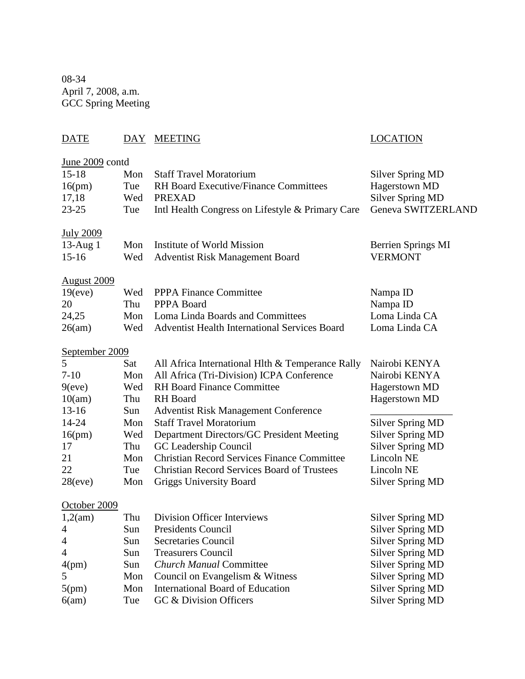08-34 April 7, 2008, a.m. GCC Spring Meeting

# DATE DAY MEETING LOCATION June 2009 contd 15-18 Mon Staff Travel Moratorium Silver Spring MD 16(pm) Tue RH Board Executive/Finance Committees Hagerstown MD 17,18 Wed PREXAD Silver Spring MD 23-25 Tue Intl Health Congress on Lifestyle & Primary Care Geneva SWITZERLAND July 2009 13-Aug 1 Mon Institute of World Mission Berrien Springs MI 15-16 Wed Adventist Risk Management Board VERMONT August 2009 19(eve) Wed PPPA Finance Committee Nampa ID 20 Thu PPPA Board Nampa ID 24,25 Mon Loma Linda Boards and Committees Loma Linda CA 26(am) Wed Adventist Health International Services Board Loma Linda CA September 2009 5 Sat All Africa International Hlth & Temperance Rally Nairobi KENYA 7-10 Mon All Africa (Tri-Division) ICPA Conference Nairobi KENYA 9(eve) Wed RH Board Finance Committee Hagerstown MD 10(am) Thu RH Board Hagerstown MD 13-16 Sun Adventist Risk Management Conference \_\_\_\_\_\_\_\_\_\_\_\_\_\_\_\_ 14-24 Mon Staff Travel Moratorium Silver Spring MD 16(pm) Wed Department Directors/GC President Meeting Silver Spring MD 17 Thu GC Leadership Council Silver Spring MD 21 Mon Christian Record Services Finance Committee Lincoln NE 22 Tue Christian Record Services Board of Trustees Lincoln NE 28(eve) Mon Griggs University Board Silver Spring MD October 2009 1,2(am) Thu Division Officer Interviews Silver Spring MD 4 Sun Presidents Council Silver Spring MD 4 Sun Secretaries Council Silver Spring MD

4 Sun Treasurers Council Silver Spring MD 4(pm) Sun *Church Manual* Committee Silver Spring MD 5 Mon Council on Evangelism & Witness Silver Spring MD 5(pm) Mon International Board of Education Silver Spring MD 6(am) Tue GC & Division Officers Silver Spring MD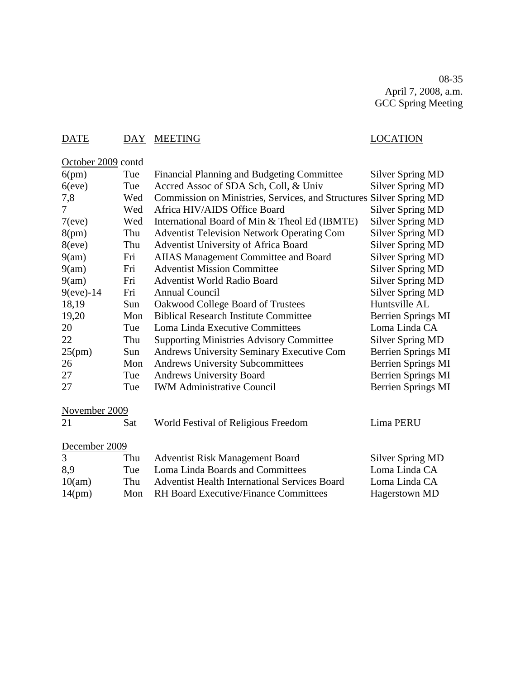08-35 April 7, 2008, a.m. GCC Spring Meeting

#### DATE DAY MEETING LOCATION

October 2009 contd 6(pm) Tue Financial Planning and Budgeting Committee Silver Spring MD 6(eve) Tue Accred Assoc of SDA Sch, Coll, & Univ Silver Spring MD 7,8 Wed Commission on Ministries, Services, and Structures Silver Spring MD 7 Wed Africa HIV/AIDS Office Board Silver Spring MD 7(eve) Wed International Board of Min & Theol Ed (IBMTE) Silver Spring MD 8(pm) Thu Adventist Television Network Operating Com Silver Spring MD 8(eve) Thu Adventist University of Africa Board Silver Spring MD 9(am) Fri AIIAS Management Committee and Board Silver Spring MD 9(am) Fri Adventist Mission Committee Silver Spring MD 9(am) Fri Adventist World Radio Board Silver Spring MD 9(eve)-14 Fri Annual Council Silver Spring MD 18,19 Sun Oakwood College Board of Trustees Huntsville AL 19,20 Mon Biblical Research Institute Committee Berrien Springs MI 20 Tue Loma Linda Executive Committees Loma Linda CA 22 Thu Supporting Ministries Advisory Committee Silver Spring MD 25(pm) Sun Andrews University Seminary Executive Com Berrien Springs MI 26 Mon Andrews University Subcommittees Berrien Springs MI 27 Tue Andrews University Board Berrien Springs MI 27 Tue IWM Administrative Council Berrien Springs MI November 2009 21 Sat World Festival of Religious Freedom Lima PERU December 2009 3 Thu Adventist Risk Management Board Silver Spring MD 8,9 Tue Loma Linda Boards and Committees Loma Linda CA 10(am) Thu Adventist Health International Services Board Loma Linda CA 14(pm) Mon RH Board Executive/Finance Committees Hagerstown MD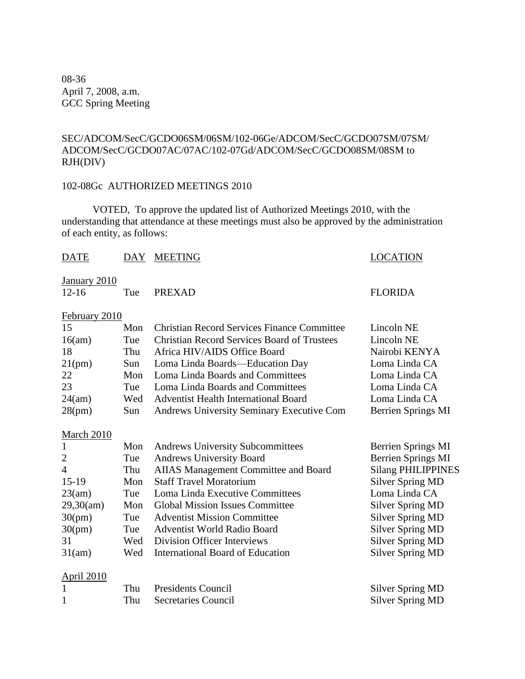08-36 April 7, 2008, a.m. GCC Spring Meeting

#### SEC/ADCOM/SecC/GCDO06SM/06SM/102-06Ge/ADCOM/SecC/GCDO07SM/07SM/ ADCOM/SecC/GCDO07AC/07AC/102-07Gd/ADCOM/SecC/GCDO08SM/08SM to RJH(DIV)

#### 102-08Gc AUTHORIZED MEETINGS 2010

VOTED, To approve the updated list of Authorized Meetings 2010, with the understanding that attendance at these meetings must also be approved by the administration of each entity, as follows:

| <b>DATE</b>       | DAY | <b>MEETING</b>                                     | <b>LOCATION</b>           |
|-------------------|-----|----------------------------------------------------|---------------------------|
| January 2010      |     |                                                    |                           |
| $12 - 16$         | Tue | <b>PREXAD</b>                                      | <b>FLORIDA</b>            |
| February 2010     |     |                                                    |                           |
| 15                | Mon | <b>Christian Record Services Finance Committee</b> | Lincoln NE                |
| 16(am)            | Tue | <b>Christian Record Services Board of Trustees</b> | Lincoln NE                |
| 18                | Thu | Africa HIV/AIDS Office Board                       | Nairobi KENYA             |
| 21(pm)            | Sun | Loma Linda Boards-Education Day                    | Loma Linda CA             |
| 22                | Mon | Loma Linda Boards and Committees                   | Loma Linda CA             |
| 23                | Tue | Loma Linda Boards and Committees                   | Loma Linda CA             |
| 24(am)            | Wed | <b>Adventist Health International Board</b>        | Loma Linda CA             |
| 28(pm)            | Sun | <b>Andrews University Seminary Executive Com</b>   | Berrien Springs MI        |
| <b>March 2010</b> |     |                                                    |                           |
| $\mathbf{1}$      | Mon | <b>Andrews University Subcommittees</b>            | Berrien Springs MI        |
| $\mathbf{2}$      | Tue | Andrews University Board                           | <b>Berrien Springs MI</b> |
| $\overline{4}$    | Thu | <b>AIIAS Management Committee and Board</b>        | <b>Silang PHILIPPINES</b> |
| $15-19$           | Mon | <b>Staff Travel Moratorium</b>                     | <b>Silver Spring MD</b>   |
| 23(am)            | Tue | Loma Linda Executive Committees                    | Loma Linda CA             |
| 29,30(am)         | Mon | <b>Global Mission Issues Committee</b>             | <b>Silver Spring MD</b>   |
| 30(pm)            | Tue | <b>Adventist Mission Committee</b>                 | <b>Silver Spring MD</b>   |
| 30(pm)            | Tue | <b>Adventist World Radio Board</b>                 | <b>Silver Spring MD</b>   |
| 31                | Wed | <b>Division Officer Interviews</b>                 | <b>Silver Spring MD</b>   |
| 31(am)            | Wed | <b>International Board of Education</b>            | <b>Silver Spring MD</b>   |
| <b>April 2010</b> |     |                                                    |                           |
|                   | Thu | <b>Presidents Council</b>                          | <b>Silver Spring MD</b>   |
| 1                 | Thu | <b>Secretaries Council</b>                         | <b>Silver Spring MD</b>   |
|                   |     |                                                    |                           |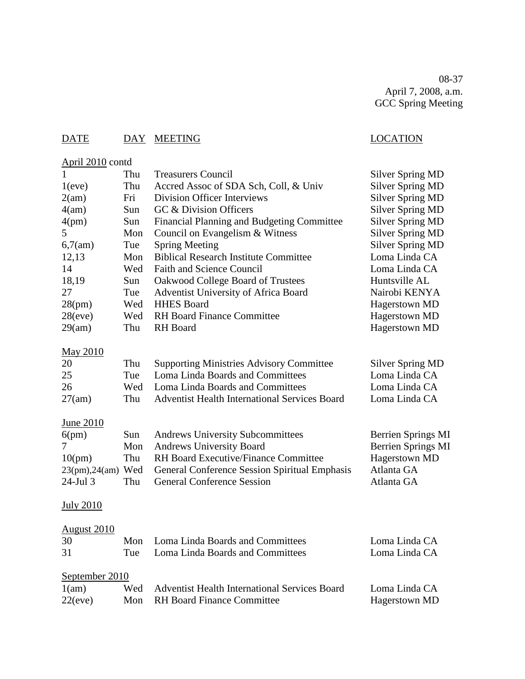08-37 April 7, 2008, a.m. GCC Spring Meeting

# DATE DAY MEETING LOCATION

# April 2010 contd

| $\mathbf{1}$       | Thu | <b>Treasurers Council</b>                            | <b>Silver Spring MD</b>   |
|--------------------|-----|------------------------------------------------------|---------------------------|
| 1(eve)             | Thu | Accred Assoc of SDA Sch, Coll, & Univ                | <b>Silver Spring MD</b>   |
| 2(am)              | Fri | <b>Division Officer Interviews</b>                   | <b>Silver Spring MD</b>   |
| 4(am)              | Sun | GC & Division Officers                               | <b>Silver Spring MD</b>   |
| 4(pm)              | Sun | Financial Planning and Budgeting Committee           | <b>Silver Spring MD</b>   |
| 5                  | Mon | Council on Evangelism & Witness                      | <b>Silver Spring MD</b>   |
| 6,7(am)            | Tue | <b>Spring Meeting</b>                                | <b>Silver Spring MD</b>   |
| 12,13              | Mon | <b>Biblical Research Institute Committee</b>         | Loma Linda CA             |
| 14                 | Wed | <b>Faith and Science Council</b>                     | Loma Linda CA             |
| 18,19              | Sun | Oakwood College Board of Trustees                    | Huntsville AL             |
| 27                 | Tue | Adventist University of Africa Board                 | Nairobi KENYA             |
| 28(pm)             | Wed | <b>HHES Board</b>                                    | Hagerstown MD             |
| 28(eve)            | Wed | <b>RH Board Finance Committee</b>                    | <b>Hagerstown MD</b>      |
| 29(am)             | Thu | <b>RH</b> Board                                      | Hagerstown MD             |
| May 2010           |     |                                                      |                           |
| 20                 | Thu | <b>Supporting Ministries Advisory Committee</b>      | <b>Silver Spring MD</b>   |
| 25                 | Tue | Loma Linda Boards and Committees                     | Loma Linda CA             |
| 26                 | Wed | Loma Linda Boards and Committees                     | Loma Linda CA             |
| 27(am)             | Thu | <b>Adventist Health International Services Board</b> | Loma Linda CA             |
| <u>June 2010</u>   |     |                                                      |                           |
| 6(pm)              | Sun | <b>Andrews University Subcommittees</b>              | Berrien Springs MI        |
| 7                  | Mon | <b>Andrews University Board</b>                      | <b>Berrien Springs MI</b> |
| 10(pm)             | Thu | RH Board Executive/Finance Committee                 | Hagerstown MD             |
| 23(pm),24(am) Wed  |     | General Conference Session Spiritual Emphasis        | Atlanta GA                |
| 24-Jul 3           | Thu | <b>General Conference Session</b>                    | Atlanta GA                |
| <b>July 2010</b>   |     |                                                      |                           |
| <b>August 2010</b> |     |                                                      |                           |
| 30                 | Mon | Loma Linda Boards and Committees                     | Loma Linda CA             |
| 31                 | Tue | Loma Linda Boards and Committees                     | Loma Linda CA             |
| September 2010     |     |                                                      |                           |
| 1(am)              | Wed | <b>Adventist Health International Services Board</b> | Loma Linda CA             |

22(eve) Mon RH Board Finance Committee Hagerstown MD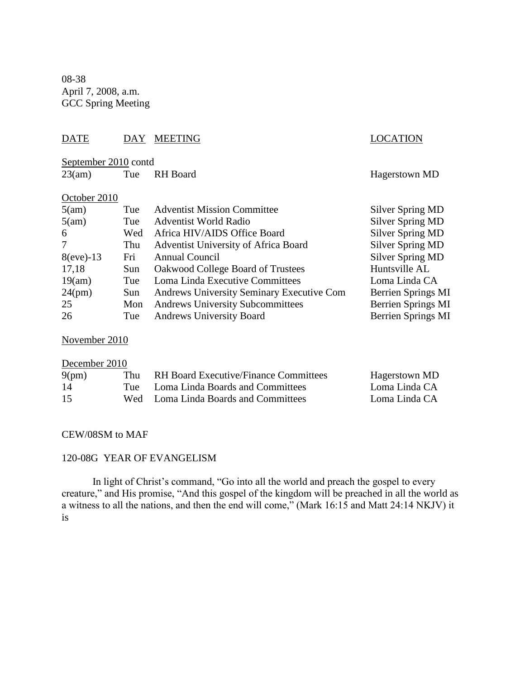08-38 April 7, 2008, a.m. GCC Spring Meeting

#### DATE DAY MEETING LOCATION

 $\frac{\text{September }2010}{23 \text{(am)}}$  Tue F Tue RH Board Hagerstown MD

#### October 2010

| 5(am)        | Tue | <b>Adventist Mission Committee</b>        | <b>Silver Spring MD</b>   |
|--------------|-----|-------------------------------------------|---------------------------|
| 5(am)        | Tue | <b>Adventist World Radio</b>              | <b>Silver Spring MD</b>   |
| 6            | Wed | Africa HIV/AIDS Office Board              | <b>Silver Spring MD</b>   |
| 7            | Thu | Adventist University of Africa Board      | <b>Silver Spring MD</b>   |
| $8$ (eve)-13 | Fri | Annual Council                            | <b>Silver Spring MD</b>   |
| 17,18        | Sun | Oakwood College Board of Trustees         | Huntsville AL             |
| 19(am)       | Tue | Loma Linda Executive Committees           | Loma Linda CA             |
| $24$ (pm)    | Sun | Andrews University Seminary Executive Com | Berrien Springs MI        |
| 25           | Mon | <b>Andrews University Subcommittees</b>   | <b>Berrien Springs MI</b> |
| 26           | Tue | <b>Andrews University Board</b>           | <b>Berrien Springs MI</b> |

November 2010

# December 2010

| 9(pm) | Thu | RH Board Executive/Finance Committees | Hagerstown MD |
|-------|-----|---------------------------------------|---------------|
| 14    |     | Tue Loma Linda Boards and Committees  | Loma Linda CA |
| 15    |     | Wed Loma Linda Boards and Committees  | Loma Linda CA |

#### CEW/08SM to MAF

#### 120-08G YEAR OF EVANGELISM

In light of Christ's command, "Go into all the world and preach the gospel to every creature," and His promise, "And this gospel of the kingdom will be preached in all the world as a witness to all the nations, and then the end will come," (Mark 16:15 and Matt 24:14 NKJV) it is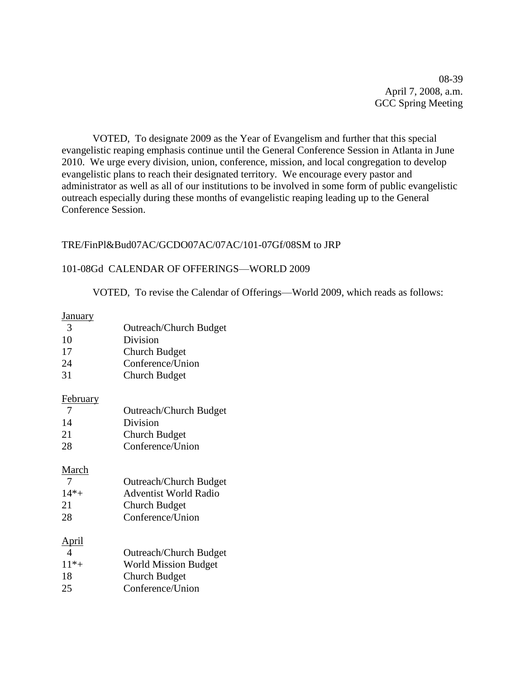08-39 April 7, 2008, a.m. GCC Spring Meeting

VOTED, To designate 2009 as the Year of Evangelism and further that this special evangelistic reaping emphasis continue until the General Conference Session in Atlanta in June 2010. We urge every division, union, conference, mission, and local congregation to develop evangelistic plans to reach their designated territory. We encourage every pastor and administrator as well as all of our institutions to be involved in some form of public evangelistic outreach especially during these months of evangelistic reaping leading up to the General Conference Session.

#### TRE/FinPl&Bud07AC/GCDO07AC/07AC/101-07Gf/08SM to JRP

#### 101-08Gd CALENDAR OF OFFERINGS—WORLD 2009

VOTED, To revise the Calendar of Offerings—World 2009, which reads as follows:

#### **January**

| - 3    | <b>Outreach/Church Budget</b> |  |
|--------|-------------------------------|--|
| $\sim$ |                               |  |

10 Division

17 Church Budget

- 24 Conference/Union
- 31 Church Budget

#### **February**

| <b>Outreach/Church Budget</b> |
|-------------------------------|
|                               |

14 Division

21 Church Budget

28 Conference/Union

#### March

| - 7     | <b>Outreach/Church Budget</b> |
|---------|-------------------------------|
| $14* +$ | <b>Adventist World Radio</b>  |
| 21      | Church Budget                 |
| 28      | Conference/Union              |

#### April

| $\overline{4}$ | <b>Outreach/Church Budget</b>                                                                    |
|----------------|--------------------------------------------------------------------------------------------------|
| $11* +$        | <b>World Mission Budget</b>                                                                      |
| 1 O            | $\Omega$ <sub>1</sub> $\Omega$ $\Omega$ <sub>1</sub> $\Omega$ <sub>1</sub> $\Omega$ <sub>1</sub> |

18 Church Budget

25 Conference/Union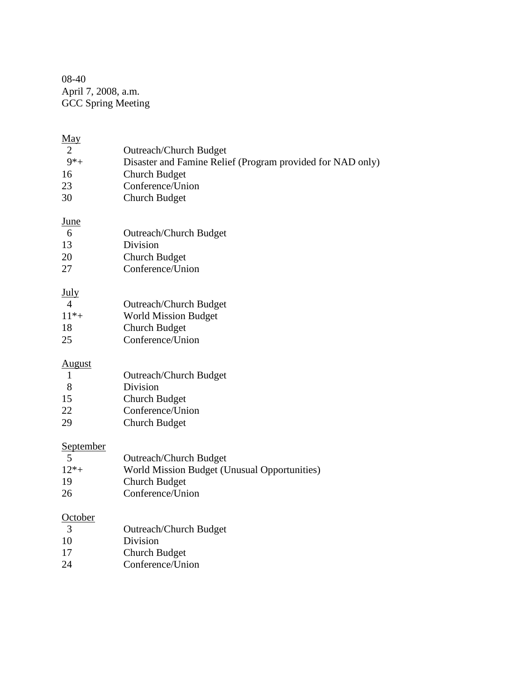08-40 April 7, 2008, a.m. GCC Spring Meeting

| May<br>$\overline{2}$<br>$9*$ +<br>16<br>23<br>30    | <b>Outreach/Church Budget</b><br>Disaster and Famine Relief (Program provided for NAD only)<br><b>Church Budget</b><br>Conference/Union<br><b>Church Budget</b> |
|------------------------------------------------------|-----------------------------------------------------------------------------------------------------------------------------------------------------------------|
| <u>June</u><br>6<br>13<br>20<br>27                   | <b>Outreach/Church Budget</b><br>Division<br><b>Church Budget</b><br>Conference/Union                                                                           |
| <u>July</u><br>$\overline{4}$<br>$11* +$<br>18<br>25 | <b>Outreach/Church Budget</b><br><b>World Mission Budget</b><br><b>Church Budget</b><br>Conference/Union                                                        |
| <b>August</b><br>$\mathbf{1}$<br>8<br>15<br>22<br>29 | <b>Outreach/Church Budget</b><br>Division<br><b>Church Budget</b><br>Conference/Union<br><b>Church Budget</b>                                                   |
| September<br>5<br>$12* +$<br>19<br>26                | <b>Outreach/Church Budget</b><br>World Mission Budget (Unusual Opportunities)<br><b>Church Budget</b><br>Conference/Union                                       |
| October<br>3<br>10<br>17<br>24                       | <b>Outreach/Church Budget</b><br>Division<br><b>Church Budget</b><br>Conference/Union                                                                           |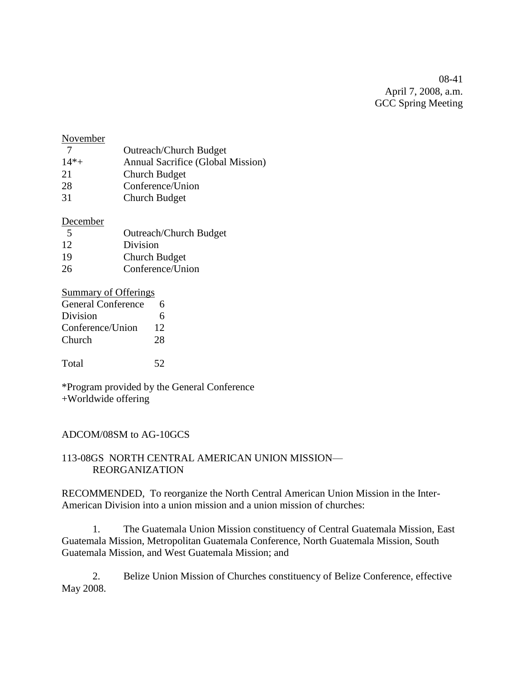08-41 April 7, 2008, a.m. GCC Spring Meeting

#### November

- 7 Outreach/Church Budget 14\*+ Annual Sacrifice (Global Mission) 21 Church Budget 28 Conference/Union
- 31 Church Budget

#### December

| 5  | <b>Outreach/Church Budget</b> |
|----|-------------------------------|
| 12 | Division                      |
| 19 | Church Budget                 |
| 26 | Conference/Union              |

#### Summary of Offerings

| <b>General Conference</b> | 6  |
|---------------------------|----|
| Division                  | 6  |
| Conference/Union          | 12 |
| Church                    | 28 |
|                           |    |
| Total                     |    |

\*Program provided by the General Conference +Worldwide offering

#### ADCOM/08SM to AG-10GCS

#### 113-08GS NORTH CENTRAL AMERICAN UNION MISSION— REORGANIZATION

RECOMMENDED, To reorganize the North Central American Union Mission in the Inter-American Division into a union mission and a union mission of churches:

1. The Guatemala Union Mission constituency of Central Guatemala Mission, East Guatemala Mission, Metropolitan Guatemala Conference, North Guatemala Mission, South Guatemala Mission, and West Guatemala Mission; and

2. Belize Union Mission of Churches constituency of Belize Conference, effective May 2008.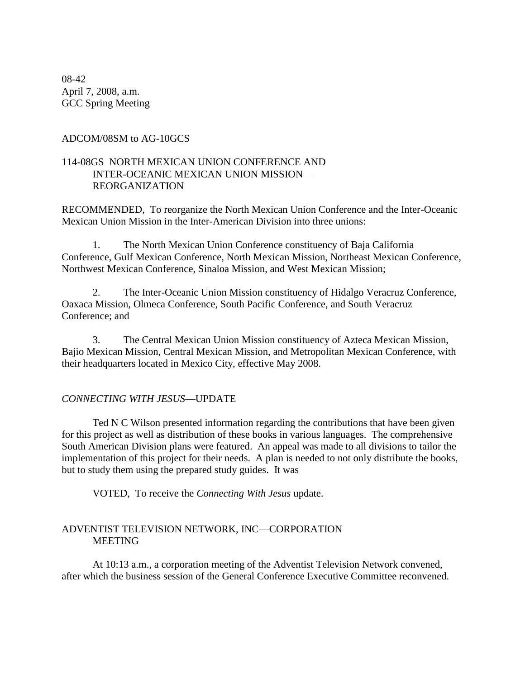08-42 April 7, 2008, a.m. GCC Spring Meeting

#### ADCOM/08SM to AG-10GCS

#### 114-08GS NORTH MEXICAN UNION CONFERENCE AND INTER-OCEANIC MEXICAN UNION MISSION— REORGANIZATION

RECOMMENDED, To reorganize the North Mexican Union Conference and the Inter-Oceanic Mexican Union Mission in the Inter-American Division into three unions:

1. The North Mexican Union Conference constituency of Baja California Conference, Gulf Mexican Conference, North Mexican Mission, Northeast Mexican Conference, Northwest Mexican Conference, Sinaloa Mission, and West Mexican Mission;

2. The Inter-Oceanic Union Mission constituency of Hidalgo Veracruz Conference, Oaxaca Mission, Olmeca Conference, South Pacific Conference, and South Veracruz Conference; and

3. The Central Mexican Union Mission constituency of Azteca Mexican Mission, Bajio Mexican Mission, Central Mexican Mission, and Metropolitan Mexican Conference, with their headquarters located in Mexico City, effective May 2008.

#### *CONNECTING WITH JESUS*—UPDATE

Ted N C Wilson presented information regarding the contributions that have been given for this project as well as distribution of these books in various languages. The comprehensive South American Division plans were featured. An appeal was made to all divisions to tailor the implementation of this project for their needs. A plan is needed to not only distribute the books, but to study them using the prepared study guides. It was

VOTED, To receive the *Connecting With Jesus* update.

#### ADVENTIST TELEVISION NETWORK, INC—CORPORATION MEETING

At 10:13 a.m., a corporation meeting of the Adventist Television Network convened, after which the business session of the General Conference Executive Committee reconvened.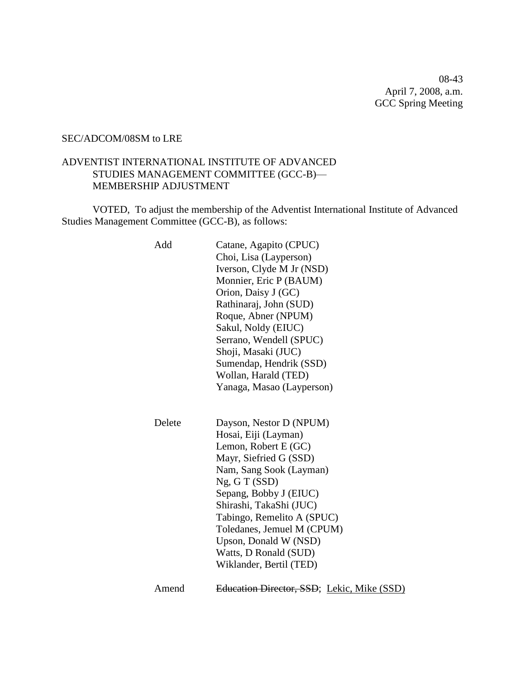08-43 April 7, 2008, a.m. GCC Spring Meeting

#### SEC/ADCOM/08SM to LRE

#### ADVENTIST INTERNATIONAL INSTITUTE OF ADVANCED STUDIES MANAGEMENT COMMITTEE (GCC-B)— MEMBERSHIP ADJUSTMENT

VOTED, To adjust the membership of the Adventist International Institute of Advanced Studies Management Committee (GCC-B), as follows:

| Add    | Catane, Agapito (CPUC)<br>Choi, Lisa (Layperson)<br>Iverson, Clyde M Jr (NSD)<br>Monnier, Eric P (BAUM)<br>Orion, Daisy J (GC)<br>Rathinaraj, John (SUD)<br>Roque, Abner (NPUM)<br>Sakul, Noldy (EIUC)<br>Serrano, Wendell (SPUC)<br>Shoji, Masaki (JUC)<br>Sumendap, Hendrik (SSD)<br>Wollan, Harald (TED)<br>Yanaga, Masao (Layperson)    |
|--------|---------------------------------------------------------------------------------------------------------------------------------------------------------------------------------------------------------------------------------------------------------------------------------------------------------------------------------------------|
| Delete | Dayson, Nestor D (NPUM)<br>Hosai, Eiji (Layman)<br>Lemon, Robert E (GC)<br>Mayr, Siefried G (SSD)<br>Nam, Sang Sook (Layman)<br>Ng, G T (SSD)<br>Sepang, Bobby J (EIUC)<br>Shirashi, TakaShi (JUC)<br>Tabingo, Remelito A (SPUC)<br>Toledanes, Jemuel M (CPUM)<br>Upson, Donald W (NSD)<br>Watts, D Ronald (SUD)<br>Wiklander, Bertil (TED) |
| Amend  | Education Director, SSD; Lekic, Mike (SSD)                                                                                                                                                                                                                                                                                                  |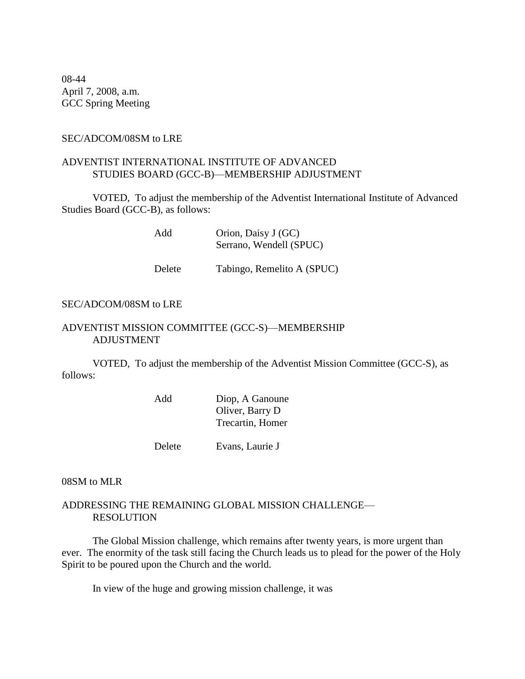08-44 April 7, 2008, a.m. GCC Spring Meeting

#### SEC/ADCOM/08SM to LRE

#### ADVENTIST INTERNATIONAL INSTITUTE OF ADVANCED STUDIES BOARD (GCC-B)—MEMBERSHIP ADJUSTMENT

VOTED, To adjust the membership of the Adventist International Institute of Advanced Studies Board (GCC-B), as follows:

> Add Orion, Daisy J (GC) Serrano, Wendell (SPUC)

Delete Tabingo, Remelito A (SPUC)

#### SEC/ADCOM/08SM to LRE

#### ADVENTIST MISSION COMMITTEE (GCC-S)—MEMBERSHIP ADJUSTMENT

VOTED, To adjust the membership of the Adventist Mission Committee (GCC-S), as follows:

| Add | Diop, A Ganoune  |
|-----|------------------|
|     | Oliver, Barry D  |
|     | Trecartin, Homer |
|     |                  |

Delete Evans, Laurie J

08SM to MLR

#### ADDRESSING THE REMAINING GLOBAL MISSION CHALLENGE— RESOLUTION

The Global Mission challenge, which remains after twenty years, is more urgent than ever. The enormity of the task still facing the Church leads us to plead for the power of the Holy Spirit to be poured upon the Church and the world.

In view of the huge and growing mission challenge, it was